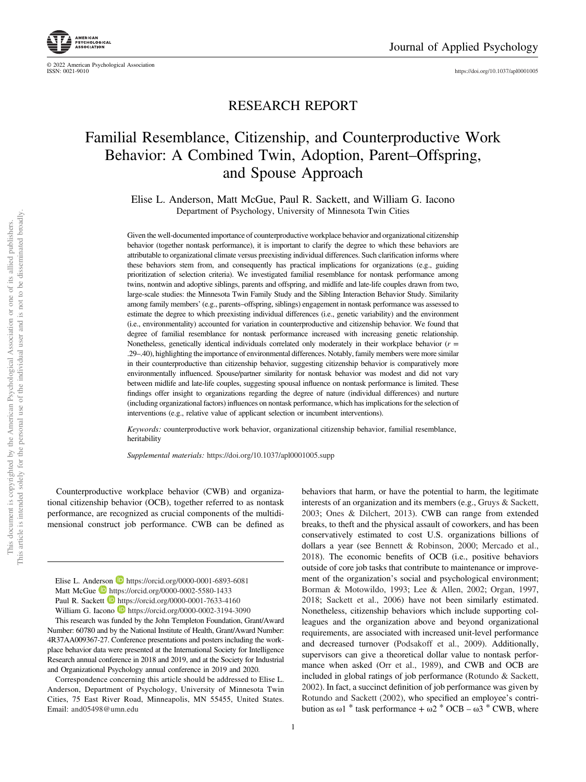https://doi.org/10.1037/apl0001005



# Familial Resemblance, Citizenship, and Counterproductive Work Behavior: A Combined Twin, Adoption, Parent–Offspring, and Spouse Approach

Elise L. Anderson, Matt McGue, Paul R. Sackett, and William G. Iacono Department of Psychology, University of Minnesota Twin Cities

Given the well-documented importance of counterproductive workplace behavior and organizational citizenship behavior (together nontask performance), it is important to clarify the degree to which these behaviors are attributable to organizational climate versus preexisting individual differences. Such clarification informs where these behaviors stem from, and consequently has practical implications for organizations (e.g., guiding prioritization of selection criteria). We investigated familial resemblance for nontask performance among twins, nontwin and adoptive siblings, parents and offspring, and midlife and late-life couples drawn from two, large-scale studies: the Minnesota Twin Family Study and the Sibling Interaction Behavior Study. Similarity among family members' (e.g., parents–offspring, siblings) engagement in nontask performance was assessed to estimate the degree to which preexisting individual differences (i.e., genetic variability) and the environment (i.e., environmentality) accounted for variation in counterproductive and citizenship behavior. We found that degree of familial resemblance for nontask performance increased with increasing genetic relationship. Nonetheless, genetically identical individuals correlated only moderately in their workplace behavior (*r* = .29–.40), highlighting the importance of environmental differences. Notably, family members were more similar in their counterproductive than citizenship behavior, suggesting citizenship behavior is comparatively more environmentally influenced. Spouse/partner similarity for nontask behavior was modest and did not vary between midlife and late-life couples, suggesting spousal influence on nontask performance is limited. These findings offer insight to organizations regarding the degree of nature (individual differences) and nurture (including organizational factors) influences on nontask performance, which has implications for the selection of interventions (e.g., relative value of applicant selection or incumbent interventions).

*Keywords:* counterproductive work behavior, organizational citizenship behavior, familial resemblance, heritability

*Supplemental materials:* https://doi.org/10.1037/apl0001005.supp

Counterproductive workplace behavior (CWB) and organizational citizenship behavior (OCB), together referred to as nontask performance, are recognized as crucial components of the multidimensional construct job performance. CWB can be defined as

Elise L. Anderson **https://orcid.org/0000-0001-6893-6081** Matt McGue D https://orcid.org/0000-0002-5580-1433 Paul R. Sackett **https://orcid.org/0000-0001-7633-4160** William G. Iacono **h**ttps://orcid.org/0000-0002-3194-3090

This research was funded by the John Templeton Foundation, Grant/Award Number: 60780 and by the National Institute of Health, Grant/Award Number: 4R37AA009367-27. Conference presentations and posters including the workplace behavior data were presented at the International Society for Intelligence Research annual conference in 2018 and 2019, and at the Society for Industrial and Organizational Psychology annual conference in 2019 and 2020.

Correspondence concerning this article should be addressed to Elise L. Anderson, Department of Psychology, University of Minnesota Twin Cities, 75 East River Road, Minneapolis, MN 55455, United States. Email: and05498@umn.edu

behaviors that harm, or have the potential to harm, the legitimate interests of an organization and its members (e.g., Gruys & Sackett, 2003; Ones & Dilchert, 2013). CWB can range from extended breaks, to theft and the physical assault of coworkers, and has been conservatively estimated to cost U.S. organizations billions of dollars a year (see Bennett & Robinson, 2000; Mercado et al., 2018). The economic benefits of OCB (i.e., positive behaviors outside of core job tasks that contribute to maintenance or improvement of the organization's social and psychological environment; Borman & Motowildo, 1993; Lee & Allen, 2002; Organ, 1997, 2018; Sackett et al., 2006) have not been similarly estimated. Nonetheless, citizenship behaviors which include supporting colleagues and the organization above and beyond organizational requirements, are associated with increased unit-level performance and decreased turnover (Podsakoff et al., 2009). Additionally, supervisors can give a theoretical dollar value to nontask performance when asked (Orr et al., 1989), and CWB and OCB are included in global ratings of job performance (Rotundo & Sackett, 2002). In fact, a succinct definition of job performance was given by Rotundo and Sackett (2002), who specified an employee's contribution as  $\omega$ 1 \* task performance +  $\omega$ 2 \* OCB –  $\omega$ 3 \* CWB, where



© 2022 American Psychological Association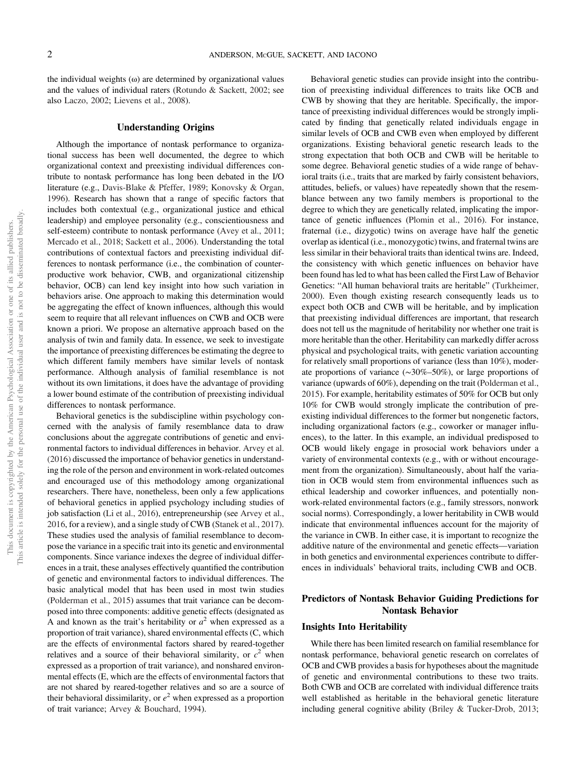the individual weights  $(\omega)$  are determined by organizational values and the values of individual raters (Rotundo & Sackett, 2002; see also Laczo, 2002; Lievens et al., 2008).

# Understanding Origins

Although the importance of nontask performance to organizational success has been well documented, the degree to which organizational context and preexisting individual differences contribute to nontask performance has long been debated in the I/O literature (e.g., Davis-Blake & Pfeffer, 1989; Konovsky & Organ, 1996). Research has shown that a range of specific factors that includes both contextual (e.g., organizational justice and ethical leadership) and employee personality (e.g., conscientiousness and self-esteem) contribute to nontask performance (Avey et al., 2011; Mercado et al., 2018; Sackett et al., 2006). Understanding the total contributions of contextual factors and preexisting individual differences to nontask performance (i.e., the combination of counterproductive work behavior, CWB, and organizational citizenship behavior, OCB) can lend key insight into how such variation in behaviors arise. One approach to making this determination would be aggregating the effect of known influences, although this would seem to require that all relevant influences on CWB and OCB were known a priori. We propose an alternative approach based on the analysis of twin and family data. In essence, we seek to investigate the importance of preexisting differences be estimating the degree to which different family members have similar levels of nontask performance. Although analysis of familial resemblance is not without its own limitations, it does have the advantage of providing a lower bound estimate of the contribution of preexisting individual differences to nontask performance.

Behavioral genetics is the subdiscipline within psychology concerned with the analysis of family resemblance data to draw conclusions about the aggregate contributions of genetic and environmental factors to individual differences in behavior. Arvey et al. (2016) discussed the importance of behavior genetics in understanding the role of the person and environment in work-related outcomes and encouraged use of this methodology among organizational researchers. There have, nonetheless, been only a few applications of behavioral genetics in applied psychology including studies of job satisfaction (Li et al., 2016), entrepreneurship (see Arvey et al., 2016, for a review), and a single study of CWB (Stanek et al., 2017). These studies used the analysis of familial resemblance to decompose the variance in a specific trait into its genetic and environmental components. Since variance indexes the degree of individual differences in a trait, these analyses effectively quantified the contribution of genetic and environmental factors to individual differences. The basic analytical model that has been used in most twin studies (Polderman et al., 2015) assumes that trait variance can be decomposed into three components: additive genetic effects (designated as A and known as the trait's heritability or  $a^2$  when expressed as a proportion of trait variance), shared environmental effects (C, which are the effects of environmental factors shared by reared-together relatives and a source of their behavioral similarity, or  $c^2$  when expressed as a proportion of trait variance), and nonshared environmental effects (E, which are the effects of environmental factors that are not shared by reared-together relatives and so are a source of their behavioral dissimilarity, or *e* <sup>2</sup> when expressed as a proportion of trait variance; Arvey & Bouchard, 1994).

Behavioral genetic studies can provide insight into the contribution of preexisting individual differences to traits like OCB and CWB by showing that they are heritable. Specifically, the importance of preexisting individual differences would be strongly implicated by finding that genetically related individuals engage in similar levels of OCB and CWB even when employed by different organizations. Existing behavioral genetic research leads to the strong expectation that both OCB and CWB will be heritable to some degree. Behavioral genetic studies of a wide range of behavioral traits (i.e., traits that are marked by fairly consistent behaviors, attitudes, beliefs, or values) have repeatedly shown that the resemblance between any two family members is proportional to the degree to which they are genetically related, implicating the importance of genetic influences (Plomin et al., 2016). For instance, fraternal (i.e., dizygotic) twins on average have half the genetic overlap as identical (i.e., monozygotic) twins, and fraternal twins are less similar in their behavioral traits than identical twins are. Indeed, the consistency with which genetic influences on behavior have been found has led to what has been called the First Law of Behavior Genetics: "All human behavioral traits are heritable" (Turkheimer, 2000). Even though existing research consequently leads us to expect both OCB and CWB will be heritable, and by implication that preexisting individual differences are important, that research does not tell us the magnitude of heritability nor whether one trait is more heritable than the other. Heritability can markedly differ across physical and psychological traits, with genetic variation accounting for relatively small proportions of variance (less than 10%), moderate proportions of variance (∼30%–50%), or large proportions of variance (upwards of 60%), depending on the trait (Polderman et al., 2015). For example, heritability estimates of 50% for OCB but only 10% for CWB would strongly implicate the contribution of preexisting individual differences to the former but nongenetic factors, including organizational factors (e.g., coworker or manager influences), to the latter. In this example, an individual predisposed to OCB would likely engage in prosocial work behaviors under a variety of environmental contexts (e.g., with or without encouragement from the organization). Simultaneously, about half the variation in OCB would stem from environmental influences such as ethical leadership and coworker influences, and potentially nonwork-related environmental factors (e.g., family stressors, nonwork social norms). Correspondingly, a lower heritability in CWB would indicate that environmental influences account for the majority of the variance in CWB. In either case, it is important to recognize the additive nature of the environmental and genetic effects—variation in both genetics and environmental experiences contribute to differences in individuals' behavioral traits, including CWB and OCB.

# Predictors of Nontask Behavior Guiding Predictions for Nontask Behavior

#### Insights Into Heritability

While there has been limited research on familial resemblance for nontask performance, behavioral genetic research on correlates of OCB and CWB provides a basis for hypotheses about the magnitude of genetic and environmental contributions to these two traits. Both CWB and OCB are correlated with individual difference traits well established as heritable in the behavioral genetic literature including general cognitive ability (Briley & Tucker-Drob, 2013;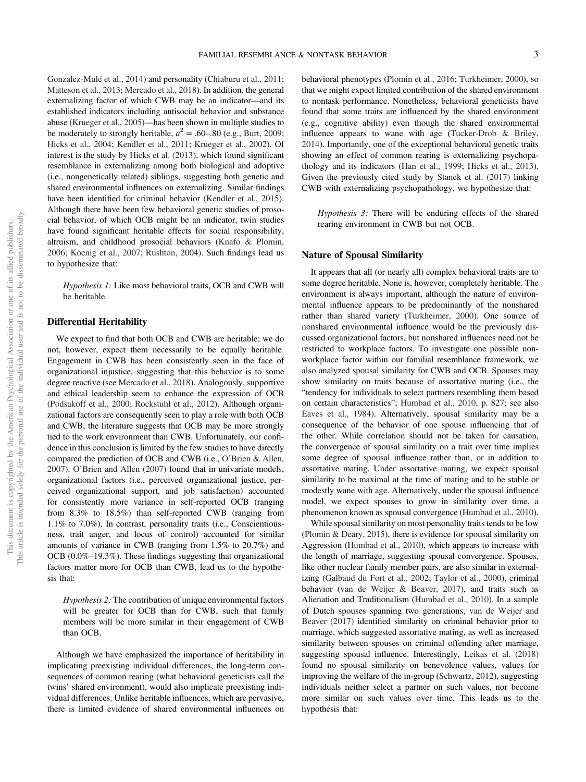Gonzalez-Mulé et al., 2014) and personality (Chiaburu et al., 2011; Matteson et al., 2013; Mercado et al., 2018). In addition, the general externalizing factor of which CWB may be an indicator—and its established indicators including antisocial behavior and substance abuse (Krueger et al., 2005)—has been shown in multiple studies to be moderately to strongly heritable,  $a^2 = .60-.80$  (e.g., Burt, 2009; Hicks et al., 2004; Kendler et al., 2011; Krueger et al., 2002). Of interest is the study by Hicks et al. (2013), which found significant resemblance in externalizing among both biological and adoptive (i.e., nongenetically related) siblings, suggesting both genetic and shared environmental influences on externalizing. Similar findings have been identified for criminal behavior (Kendler et al., 2015). Although there have been few behavioral genetic studies of prosocial behavior, of which OCB might be an indicator, twin studies have found significant heritable effects for social responsibility, altruism, and childhood prosocial behaviors (Knafo & Plomin, 2006; Koenig et al., 2007; Rushton, 2004). Such findings lead us to hypothesize that:

*Hypothesis 1:* Like most behavioral traits, OCB and CWB will be heritable.

# Differential Heritability

We expect to find that both OCB and CWB are heritable; we do not, however, expect them necessarily to be equally heritable. Engagement in CWB has been consistently seen in the face of organizational injustice, suggesting that this behavior is to some degree reactive (see Mercado et al., 2018). Analogously, supportive and ethical leadership seem to enhance the expression of OCB (Podsakoff et al., 2000; Rockstuhl et al., 2012). Although organizational factors are consequently seen to play a role with both OCB and CWB, the literature suggests that OCB may be more strongly tied to the work environment than CWB. Unfortunately, our confidence in this conclusion is limited by the few studies to have directly compared the prediction of OCB and CWB (i.e., O'Brien & Allen, 2007). O'Brien and Allen (2007) found that in univariate models, organizational factors (i.e., perceived organizational justice, perceived organizational support, and job satisfaction) accounted for consistently more variance in self-reported OCB (ranging from 8.3% to 18.5%) than self-reported CWB (ranging from 1.1% to 7.0%). In contrast, personality traits (i.e., Conscientiousness, trait anger, and locus of control) accounted for similar amounts of variance in CWB (ranging from 1.5% to 20.7%) and OCB (0.0%–19.3%). These findings suggesting that organizational factors matter more for OCB than CWB, lead us to the hypothesis that:

*Hypothesis 2:* The contribution of unique environmental factors will be greater for OCB than for CWB, such that family members will be more similar in their engagement of CWB than OCB.

Although we have emphasized the importance of heritability in implicating preexisting individual differences, the long-term consequences of common rearing (what behavioral geneticists call the twins' shared environment), would also implicate preexisting individual differences. Unlike heritable influences, which are pervasive, there is limited evidence of shared environmental influences on behavioral phenotypes (Plomin et al., 2016; Turkheimer, 2000), so that we might expect limited contribution of the shared environment to nontask performance. Nonetheless, behavioral geneticists have found that some traits are influenced by the shared environment (e.g., cognitive ability) even though the shared environmental influence appears to wane with age (Tucker-Drob & Briley, 2014). Importantly, one of the exceptional behavioral genetic traits showing an effect of common rearing is externalizing psychopathology and its indicators (Han et al., 1999; Hicks et al., 2013). Given the previously cited study by Stanek et al. (2017) linking CWB with externalizing psychopathology, we hypothesize that:

*Hypothesis 3:* There will be enduring effects of the shared rearing environment in CWB but not OCB.

# Nature of Spousal Similarity

It appears that all (or nearly all) complex behavioral traits are to some degree heritable. None is, however, completely heritable. The environment is always important, although the nature of environmental influence appears to be predominantly of the nonshared rather than shared variety (Turkheimer, 2000). One source of nonshared environmental influence would be the previously discussed organizational factors, but nonshared influences need not be restricted to workplace factors. To investigate one possible nonworkplace factor within our familial resemblance framework, we also analyzed spousal similarity for CWB and OCB. Spouses may show similarity on traits because of assortative mating (i.e., the "tendency for individuals to select partners resembling them based on certain characteristics"; Humbad et al., 2010, p. 827; see also Eaves et al., 1984). Alternatively, spousal similarity may be a consequence of the behavior of one spouse influencing that of the other. While correlation should not be taken for causation, the convergence of spousal similarity on a trait over time implies some degree of spousal influence rather than, or in addition to assortative mating. Under assortative mating, we expect spousal similarity to be maximal at the time of mating and to be stable or modestly wane with age. Alternatively, under the spousal influence model, we expect spouses to grow in similarity over time, a phenomenon known as spousal convergence (Humbad et al., 2010).

While spousal similarity on most personality traits tends to be low (Plomin & Deary, 2015), there is evidence for spousal similarity on Aggression (Humbad et al., 2010), which appears to increase with the length of marriage, suggesting spousal convergence. Spouses, like other nuclear family member pairs, are also similar in externalizing (Galbaud du Fort et al., 2002; Taylor et al., 2000), criminal behavior (van de Weijer & Beaver, 2017), and traits such as Alienation and Traditionalism (Humbad et al., 2010). In a sample of Dutch spouses spanning two generations, van de Weijer and Beaver (2017) identified similarity on criminal behavior prior to marriage, which suggested assortative mating, as well as increased similarity between spouses on criminal offending after marriage, suggesting spousal influence. Interestingly, Leikas et al. (2018) found no spousal similarity on benevolence values, values for improving the welfare of the in-group (Schwartz, 2012), suggesting individuals neither select a partner on such values, nor become more similar on such values over time. This leads us to the hypothesis that: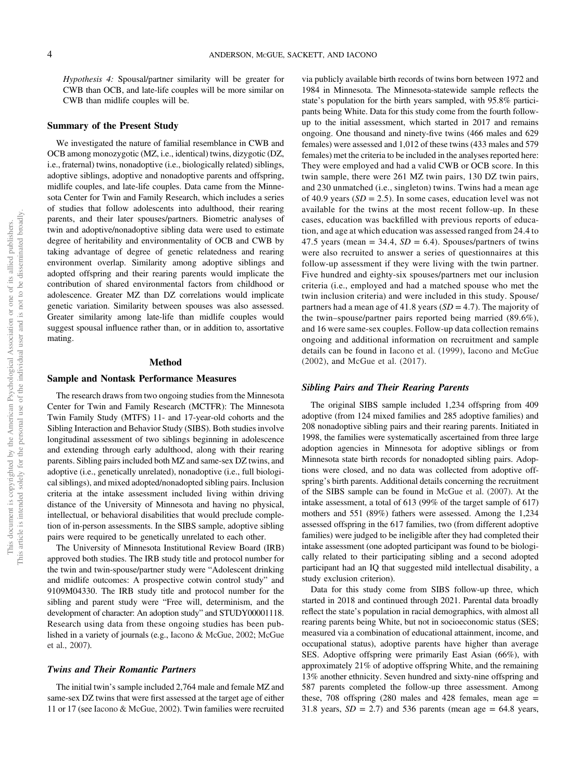*Hypothesis 4:* Spousal/partner similarity will be greater for CWB than OCB, and late-life couples will be more similar on CWB than midlife couples will be.

# Summary of the Present Study

We investigated the nature of familial resemblance in CWB and OCB among monozygotic (MZ, i.e., identical) twins, dizygotic (DZ, i.e., fraternal) twins, nonadoptive (i.e., biologically related) siblings, adoptive siblings, adoptive and nonadoptive parents and offspring, midlife couples, and late-life couples. Data came from the Minnesota Center for Twin and Family Research, which includes a series of studies that follow adolescents into adulthood, their rearing parents, and their later spouses/partners. Biometric analyses of twin and adoptive/nonadoptive sibling data were used to estimate degree of heritability and environmentality of OCB and CWB by taking advantage of degree of genetic relatedness and rearing environment overlap. Similarity among adoptive siblings and adopted offspring and their rearing parents would implicate the contribution of shared environmental factors from childhood or adolescence. Greater MZ than DZ correlations would implicate genetic variation. Similarity between spouses was also assessed. Greater similarity among late-life than midlife couples would suggest spousal influence rather than, or in addition to, assortative mating.

# Method

# Sample and Nontask Performance Measures

The research draws from two ongoing studies from the Minnesota Center for Twin and Family Research (MCTFR): The Minnesota Twin Family Study (MTFS) 11- and 17-year-old cohorts and the Sibling Interaction and Behavior Study (SIBS). Both studies involve longitudinal assessment of two siblings beginning in adolescence and extending through early adulthood, along with their rearing parents. Sibling pairs included both MZ and same-sex DZ twins, and adoptive (i.e., genetically unrelated), nonadoptive (i.e., full biological siblings), and mixed adopted/nonadopted sibling pairs. Inclusion criteria at the intake assessment included living within driving distance of the University of Minnesota and having no physical, intellectual, or behavioral disabilities that would preclude completion of in-person assessments. In the SIBS sample, adoptive sibling pairs were required to be genetically unrelated to each other.

The University of Minnesota Institutional Review Board (IRB) approved both studies. The IRB study title and protocol number for the twin and twin-spouse/partner study were "Adolescent drinking and midlife outcomes: A prospective cotwin control study" and 9109M04330. The IRB study title and protocol number for the sibling and parent study were "Free will, determinism, and the development of character: An adoption study" and STUDY00001118. Research using data from these ongoing studies has been published in a variety of journals (e.g., Iacono & McGue, 2002; McGue et al., 2007).

# Twins and Their Romantic Partners

The initial twin's sample included 2,764 male and female MZ and same-sex DZ twins that were first assessed at the target age of either 11 or 17 (see Iacono & McGue, 2002). Twin families were recruited

via publicly available birth records of twins born between 1972 and 1984 in Minnesota. The Minnesota-statewide sample reflects the state's population for the birth years sampled, with 95.8% participants being White. Data for this study come from the fourth followup to the initial assessment, which started in 2017 and remains ongoing. One thousand and ninety-five twins (466 males and 629 females) were assessed and 1,012 of these twins (433 males and 579 females) met the criteria to be included in the analyses reported here: They were employed and had a valid CWB or OCB score. In this twin sample, there were 261 MZ twin pairs, 130 DZ twin pairs, and 230 unmatched (i.e., singleton) twins. Twins had a mean age of 40.9 years  $(SD = 2.5)$ . In some cases, education level was not available for the twins at the most recent follow-up. In these cases, education was backfilled with previous reports of education, and age at which education was assessed ranged from 24.4 to 47.5 years (mean  $= 34.4$ ,  $SD = 6.4$ ). Spouses/partners of twins were also recruited to answer a series of questionnaires at this follow-up assessment if they were living with the twin partner. Five hundred and eighty-six spouses/partners met our inclusion criteria (i.e., employed and had a matched spouse who met the twin inclusion criteria) and were included in this study. Spouse/ partners had a mean age of 41.8 years  $(SD = 4.7)$ . The majority of the twin–spouse/partner pairs reported being married (89.6%), and 16 were same-sex couples. Follow-up data collection remains ongoing and additional information on recruitment and sample details can be found in Iacono et al. (1999), Iacono and McGue (2002), and McGue et al. (2017).

#### Sibling Pairs and Their Rearing Parents

The original SIBS sample included 1,234 offspring from 409 adoptive (from 124 mixed families and 285 adoptive families) and 208 nonadoptive sibling pairs and their rearing parents. Initiated in 1998, the families were systematically ascertained from three large adoption agencies in Minnesota for adoptive siblings or from Minnesota state birth records for nonadopted sibling pairs. Adoptions were closed, and no data was collected from adoptive offspring's birth parents. Additional details concerning the recruitment of the SIBS sample can be found in McGue et al. (2007). At the intake assessment, a total of 613 (99% of the target sample of 617) mothers and 551 (89%) fathers were assessed. Among the 1,234 assessed offspring in the 617 families, two (from different adoptive families) were judged to be ineligible after they had completed their intake assessment (one adopted participant was found to be biologically related to their participating sibling and a second adopted participant had an IQ that suggested mild intellectual disability, a study exclusion criterion).

Data for this study come from SIBS follow-up three, which started in 2018 and continued through 2021. Parental data broadly reflect the state's population in racial demographics, with almost all rearing parents being White, but not in socioeconomic status (SES; measured via a combination of educational attainment, income, and occupational status), adoptive parents have higher than average SES. Adoptive offspring were primarily East Asian (66%), with approximately 21% of adoptive offspring White, and the remaining 13% another ethnicity. Seven hundred and sixty-nine offspring and 587 parents completed the follow-up three assessment. Among these,  $708$  offspring  $(280 \text{ males and } 428 \text{ females, mean age} =$ 31.8 years,  $SD = 2.7$ ) and 536 parents (mean age  $= 64.8$  years,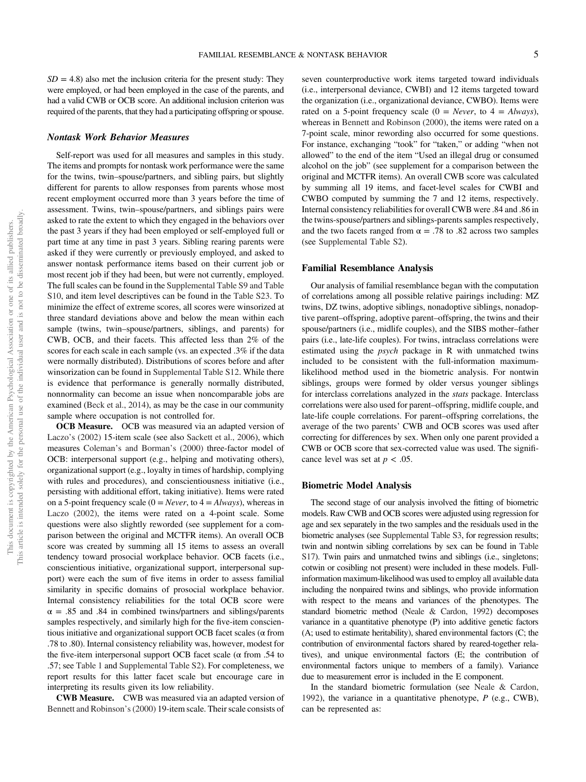#### Nontask Work Behavior Measures

Self-report was used for all measures and samples in this study. The items and prompts for nontask work performance were the same for the twins, twin–spouse/partners, and sibling pairs, but slightly different for parents to allow responses from parents whose most recent employment occurred more than 3 years before the time of assessment. Twins, twin–spouse/partners, and siblings pairs were asked to rate the extent to which they engaged in the behaviors over the past 3 years if they had been employed or self-employed full or part time at any time in past 3 years. Sibling rearing parents were asked if they were currently or previously employed, and asked to answer nontask performance items based on their current job or most recent job if they had been, but were not currently, employed. The full scales can be found in the Supplemental Table S9 and Table S10, and item level descriptives can be found in the Table S23. To minimize the effect of extreme scores, all scores were winsorized at three standard deviations above and below the mean within each sample (twins, twin–spouse/partners, siblings, and parents) for CWB, OCB, and their facets. This affected less than 2% of the scores for each scale in each sample (vs. an expected .3% if the data were normally distributed). Distributions of scores before and after winsorization can be found in Supplemental Table S12. While there is evidence that performance is generally normally distributed, nonnormality can become an issue when noncomparable jobs are examined (Beck et al., 2014), as may be the case in our community sample where occupation is not controlled for.

**OCB Measure.** OCB was measured via an adapted version of Laczo's (2002) 15-item scale (see also Sackett et al., 2006), which measures Coleman's and Borman's (2000) three-factor model of OCB: interpersonal support (e.g., helping and motivating others), organizational support (e.g., loyalty in times of hardship, complying with rules and procedures), and conscientiousness initiative (i.e., persisting with additional effort, taking initiative). Items were rated on a 5-point frequency scale  $(0 = Never, to 4 = Always)$ , whereas in Laczo (2002), the items were rated on a 4-point scale. Some questions were also slightly reworded (see supplement for a comparison between the original and MCTFR items). An overall OCB score was created by summing all 15 items to assess an overall tendency toward prosocial workplace behavior. OCB facets (i.e., conscientious initiative, organizational support, interpersonal support) were each the sum of five items in order to assess familial similarity in specific domains of prosocial workplace behavior. Internal consistency reliabilities for the total OCB score were  $\alpha = .85$  and  $.84$  in combined twins/partners and siblings/parents samples respectively, and similarly high for the five-item conscientious initiative and organizational support OCB facet scales (α from .78 to .80). Internal consistency reliability was, however, modest for the five-item interpersonal support OCB facet scale ( $\alpha$  from .54 to .57; see Table 1 and Supplemental Table S2). For completeness, we report results for this latter facet scale but encourage care in interpreting its results given its low reliability.

CWB Measure. CWB was measured via an adapted version of Bennett and Robinson's (2000) 19-item scale. Their scale consists of

seven counterproductive work items targeted toward individuals (i.e., interpersonal deviance, CWBI) and 12 items targeted toward the organization (i.e., organizational deviance, CWBO). Items were rated on a 5-point frequency scale  $(0 = Never, to 4 = Always)$ , whereas in Bennett and Robinson (2000), the items were rated on a 7-point scale, minor rewording also occurred for some questions. For instance, exchanging "took" for "taken," or adding "when not allowed" to the end of the item "Used an illegal drug or consumed alcohol on the job" (see supplement for a comparison between the original and MCTFR items). An overall CWB score was calculated by summing all 19 items, and facet-level scales for CWBI and CWBO computed by summing the 7 and 12 items, respectively. Internal consistency reliabilities for overall CWB were .84 and .86 in the twins-spouse/partners and siblings-parents samples respectively, and the two facets ranged from  $\alpha = .78$  to .82 across two samples (see Supplemental Table S2).

# Familial Resemblance Analysis

Our analysis of familial resemblance began with the computation of correlations among all possible relative pairings including: MZ twins, DZ twins, adoptive siblings, nonadoptive siblings, nonadoptive parent–offspring, adoptive parent–offspring, the twins and their spouse/partners (i.e., midlife couples), and the SIBS mother–father pairs (i.e., late-life couples). For twins, intraclass correlations were estimated using the *psych* package in R with unmatched twins included to be consistent with the full-information maximumlikelihood method used in the biometric analysis. For nontwin siblings, groups were formed by older versus younger siblings for interclass correlations analyzed in the *stats* package. Interclass correlations were also used for parent–offspring, midlife couple, and late-life couple correlations. For parent–offspring correlations, the average of the two parents' CWB and OCB scores was used after correcting for differences by sex. When only one parent provided a CWB or OCB score that sex-corrected value was used. The significance level was set at  $p < .05$ .

# Biometric Model Analysis

The second stage of our analysis involved the fitting of biometric models. Raw CWB and OCB scores were adjusted using regression for age and sex separately in the two samples and the residuals used in the biometric analyses (see Supplemental Table S3, for regression results; twin and nontwin sibling correlations by sex can be found in Table S17). Twin pairs and unmatched twins and siblings (i.e., singletons; cotwin or cosibling not present) were included in these models. Fullinformation maximum-likelihood was used to employ all available data including the nonpaired twins and siblings, who provide information with respect to the means and variances of the phenotypes. The standard biometric method (Neale & Cardon, 1992) decomposes variance in a quantitative phenotype (P) into additive genetic factors (A; used to estimate heritability), shared environmental factors (C; the contribution of environmental factors shared by reared-together relatives), and unique environmental factors (E; the contribution of environmental factors unique to members of a family). Variance due to measurement error is included in the E component.

In the standard biometric formulation (see Neale & Cardon, 1992), the variance in a quantitative phenotype, *P* (e.g., CWB), can be represented as: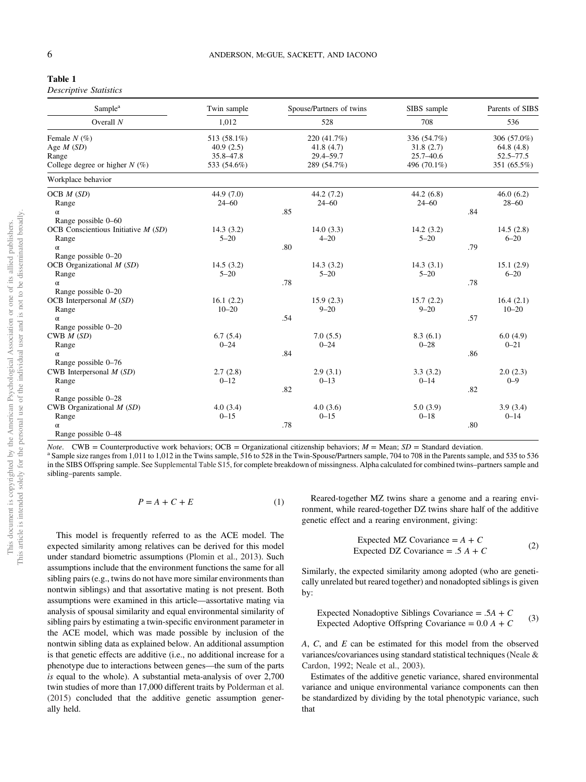| Table 1 |  |  |
|---------|--|--|
|         |  |  |

| <b>Descriptive Statistics</b> |  |
|-------------------------------|--|
|-------------------------------|--|

| Sample <sup>a</sup>                  | Twin sample | Spouse/Partners of twins | SIBS sample   | Parents of SIBS |
|--------------------------------------|-------------|--------------------------|---------------|-----------------|
| Overall $N$                          | 1,012       | 528                      | 708           | 536             |
| Female $N$ (%)                       | 513 (58.1%) | 220 (41.7%)              | 336 (54.7%)   | 306 (57.0%)     |
| Age $M(SD)$                          | 40.9(2.5)   | 41.8(4.7)                | 31.8(2.7)     | 64.8(4.8)       |
| Range                                | 35.8-47.8   | 29.4-59.7                | $25.7 - 40.6$ | $52.5 - 77.5$   |
| College degree or higher $N(\%)$     | 533 (54.6%) | 289 (54.7%)              | 496 (70.1%)   | 351 (65.5%)     |
| Workplace behavior                   |             |                          |               |                 |
| OCB $M(SD)$                          | 44.9 (7.0)  | 44.2(7.2)                | 44.2(6.8)     | 46.0(6.2)       |
| Range                                | $24 - 60$   | $24 - 60$                | $24 - 60$     | $28 - 60$       |
| $\alpha$                             |             | .85                      | .84           |                 |
| Range possible 0-60                  |             |                          |               |                 |
| OCB Conscientious Initiative $M(SD)$ | 14.3(3.2)   | 14.0(3.3)                | 14.2(3.2)     | 14.5(2.8)       |
| Range                                | $5 - 20$    | $4 - 20$                 | $5 - 20$      | $6 - 20$        |
| $\alpha$                             |             | .80                      | .79           |                 |
| Range possible 0-20                  |             |                          |               |                 |
| OCB Organizational $M(SD)$           | 14.5(3.2)   | 14.3(3.2)                | 14.3(3.1)     | 15.1(2.9)       |
| Range                                | $5 - 20$    | $5 - 20$                 | $5 - 20$      | $6 - 20$        |
| $\alpha$                             |             | .78                      | .78           |                 |
| Range possible 0-20                  |             |                          |               |                 |
| OCB Interpersonal $M(SD)$            | 16.1(2.2)   | 15.9(2.3)                | 15.7(2.2)     | 16.4(2.1)       |
| Range                                | $10 - 20$   | $9 - 20$                 | $9 - 20$      | $10 - 20$       |
| $\alpha$                             |             | .54                      | .57           |                 |
| Range possible 0-20                  |             |                          |               |                 |
| CWB $M(SD)$                          | 6.7(5.4)    | 7.0(5.5)                 | 8.3(6.1)      | 6.0(4.9)        |
| Range                                | $0 - 24$    | $0 - 24$                 | $0 - 28$      | $0 - 21$        |
| $\alpha$                             |             | .84                      | .86           |                 |
| Range possible 0-76                  |             |                          |               |                 |
| CWB Interpersonal $M(SD)$            | 2.7(2.8)    | 2.9(3.1)                 | 3.3(3.2)      | 2.0(2.3)        |
| Range                                | $0 - 12$    | $0 - 13$                 | $0 - 14$      | $0 - 9$         |
| $\alpha$                             |             | .82                      | .82           |                 |
| Range possible 0-28                  |             |                          |               |                 |
| CWB Organizational $M(SD)$           | 4.0(3.4)    | 4.0(3.6)                 | 5.0(3.9)      | 3.9(3.4)        |
| Range                                | $0 - 15$    | $0 - 15$                 | $0 - 18$      | $0 - 14$        |
| $\alpha$                             |             | .78                      | .80           |                 |
| Range possible 0-48                  |             |                          |               |                 |

*Note*. CWB = Counterproductive work behaviors; OCB = Organizational citizenship behaviors; *M* = Mean; *SD* = Standard deviation.

a Sample size ranges from 1,011 to 1,012 in the Twins sample, 516 to 528 in the Twin-Spouse/Partners sample, 704 to 708 in the Parents sample, and 535 to 536 in the SIBS Offspring sample. See Supplemental Table S15, for complete breakdown of missingness. Alpha calculated for combined twins–partners sample and sibling–parents sample.

$$
P = A + C + E \tag{1}
$$

This model is frequently referred to as the ACE model. The expected similarity among relatives can be derived for this model under standard biometric assumptions (Plomin et al., 2013). Such assumptions include that the environment functions the same for all sibling pairs (e.g., twins do not have more similar environments than nontwin siblings) and that assortative mating is not present. Both assumptions were examined in this article—assortative mating via analysis of spousal similarity and equal environmental similarity of sibling pairs by estimating a twin-specific environment parameter in the ACE model, which was made possible by inclusion of the nontwin sibling data as explained below. An additional assumption is that genetic effects are additive (i.e., no additional increase for a phenotype due to interactions between genes—the sum of the parts *is* equal to the whole). A substantial meta-analysis of over 2,700 twin studies of more than 17,000 different traits by Polderman et al. (2015) concluded that the additive genetic assumption generally held.

Reared-together MZ twins share a genome and a rearing environment, while reared-together DZ twins share half of the additive genetic effect and a rearing environment, giving:

Expected MZ Covariance = 
$$
A + C
$$
  
Expected DZ Covariance = .5  $A + C$  (2)

Similarly, the expected similarity among adopted (who are genetically unrelated but reared together) and nonadopted siblings is given by:

Expected Nonadoptive Sibling Covariance = 
$$
.5A + C
$$
  
Expected Adoptive Offspring Covariance =  $0.0 A + C$  (3)

*A*, *C*, and *E* can be estimated for this model from the observed variances/covariances using standard statistical techniques (Neale & Cardon, 1992; Neale et al., 2003).

Estimates of the additive genetic variance, shared environmental variance and unique environmental variance components can then be standardized by dividing by the total phenotypic variance, such that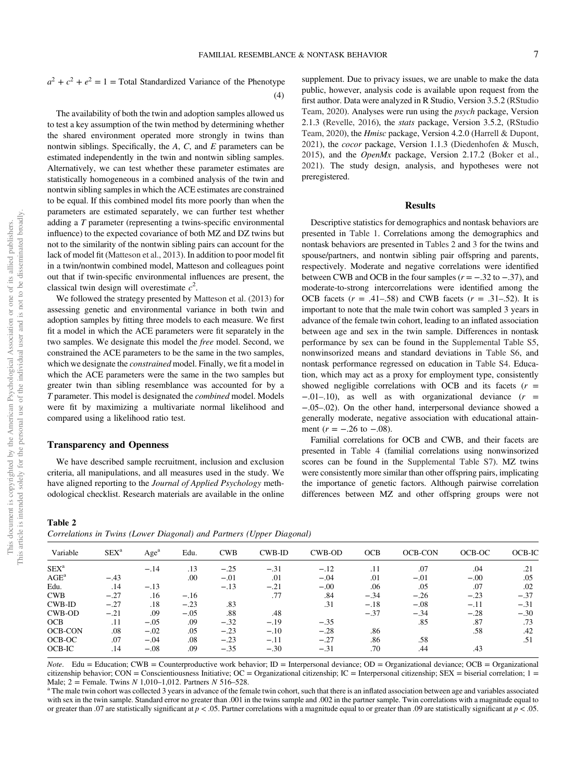$a^2 + c^2 + e^2 = 1$  = Total Standardized Variance of the Phenotype (4)

The availability of both the twin and adoption samples allowed us to test a key assumption of the twin method by determining whether the shared environment operated more strongly in twins than nontwin siblings. Specifically, the *A*, *C*, and *E* parameters can be estimated independently in the twin and nontwin sibling samples. Alternatively, we can test whether these parameter estimates are statistically homogeneous in a combined analysis of the twin and nontwin sibling samples in which the ACE estimates are constrained to be equal. If this combined model fits more poorly than when the parameters are estimated separately, we can further test whether adding a *T* parameter (representing a twins-specific environmental influence) to the expected covariance of both MZ and DZ twins but not to the similarity of the nontwin sibling pairs can account for the lack of model fit (Matteson et al., 2013). In addition to poor model fit in a twin/nontwin combined model, Matteson and colleagues point out that if twin-specific environmental influences are present, the classical twin design will overestimate *c* 2 .

We followed the strategy presented by Matteson et al. (2013) for assessing genetic and environmental variance in both twin and adoption samples by fitting three models to each measure. We first fit a model in which the ACE parameters were fit separately in the two samples. We designate this model the *free* model. Second, we constrained the ACE parameters to be the same in the two samples, which we designate the *constrained* model. Finally, we fit a model in which the ACE parameters were the same in the two samples but greater twin than sibling resemblance was accounted for by a *T* parameter. This model is designated the *combined* model. Models were fit by maximizing a multivariate normal likelihood and compared using a likelihood ratio test.

# Transparency and Openness

We have described sample recruitment, inclusion and exclusion criteria, all manipulations, and all measures used in the study. We have aligned reporting to the *Journal of Applied Psychology* methodological checklist. Research materials are available in the online supplement. Due to privacy issues, we are unable to make the data public, however, analysis code is available upon request from the first author. Data were analyzed in R Studio, Version 3.5.2 (RStudio Team, 2020). Analyses were run using the *psych* package, Version 2.1.3 (Revelle, 2016), the *stats* package, Version 3.5.2, (RStudio Team, 2020), the *Hmisc* package, Version 4.2.0 (Harrell & Dupont, 2021), the *cocor* package, Version 1.1.3 (Diedenhofen & Musch, 2015), and the *OpenMx* package, Version 2.17.2 (Boker et al., 2021). The study design, analysis, and hypotheses were not preregistered.

#### Results

Descriptive statistics for demographics and nontask behaviors are presented in Table 1. Correlations among the demographics and nontask behaviors are presented in Tables 2 and 3 for the twins and spouse/partners, and nontwin sibling pair offspring and parents, respectively. Moderate and negative correlations were identified between CWB and OCB in the four samples (*r* = −.32 to −.37), and moderate-to-strong intercorrelations were identified among the OCB facets  $(r = .41-.58)$  and CWB facets  $(r = .31-.52)$ . It is important to note that the male twin cohort was sampled 3 years in advance of the female twin cohort, leading to an inflated association between age and sex in the twin sample. Differences in nontask performance by sex can be found in the Supplemental Table S5, nonwinsorized means and standard deviations in Table S6, and nontask performance regressed on education in Table S4. Education, which may act as a proxy for employment type, consistently showed negligible correlations with OCB and its facets  $(r =$ −.01–.10), as well as with organizational deviance (*r* = −.05–.02). On the other hand, interpersonal deviance showed a generally moderate, negative association with educational attainment  $(r = -.26 \text{ to } -.08)$ .

Familial correlations for OCB and CWB, and their facets are presented in Table 4 (familial correlations using nonwinsorized scores can be found in the Supplemental Table S7). MZ twins were consistently more similar than other offspring pairs, implicating the importance of genetic factors. Although pairwise correlation differences between MZ and other offspring groups were not

Table 2 *Correlations in Twins (Lower Diagonal) and Partners (Upper Diagonal)*

|                  |                  |                  |        |            | $\cdots$  |        |            |                |        |          |
|------------------|------------------|------------------|--------|------------|-----------|--------|------------|----------------|--------|----------|
| Variable         | SEX <sup>a</sup> | Age <sup>a</sup> | Edu.   | <b>CWB</b> | $CWB$ -ID | CWB-OD | <b>OCB</b> | <b>OCB-CON</b> | OCB-OC | $OCB-IC$ |
| SEX <sup>a</sup> |                  | $-.14$           | .13    | $-.25$     | $-.31$    | $-.12$ | .11        | .07            | .04    | .21      |
| $AGE^a$          | $-.43$           |                  | .00    | $-.01$     | .01       | $-.04$ | .01        | $-.01$         | $-.00$ | .05      |
| Edu.             | .14              | $-.13$           |        | $-.13$     | $-.21$    | $-.00$ | .06        | .05            | .07    | .02      |
| <b>CWB</b>       | $-.27$           | .16              | $-.16$ |            | .77       | .84    | $-.34$     | $-.26$         | $-.23$ | $-.37$   |
| CWB-ID           | $-.27$           | .18              | $-.23$ | .83        |           | .31    | $-.18$     | $-.08$         | $-.11$ | $-.31$   |
| CWB-OD           | $-.21$           | .09              | $-.05$ | .88        | .48       |        | $-.37$     | $-.34$         | $-.28$ | $-.30$   |
| <b>OCB</b>       | .11              | $-.05$           | .09    | $-.32$     | $-.19$    | $-.35$ |            | .85            | .87    | .73      |
| <b>OCB-CON</b>   | .08              | $-.02$           | .05    | $-.23$     | $-.10$    | $-.28$ | .86        |                | .58    | .42      |
| OCB-OC           | .07              | $-.04$           | .08    | $-.23$     | $-.11$    | $-.27$ | .86        | .58            |        | .51      |
| OCB-IC           | .14              | $-.08$           | .09    | $-.35$     | $-.30$    | $-.31$ | .70        | .44            | .43    |          |

*Note*. Edu = Education; CWB = Counterproductive work behavior; ID = Interpersonal deviance; OD = Organizational deviance; OCB = Organizational citizenship behavior; CON = Conscientiousness Initiative; OC = Organizational citizenship; IC = Interpersonal citizenship; SEX = biserial correlation; 1 = Male; 2 = Female. Twins *N* 1,010–1,012. Partners *N* 516–528.

<sup>a</sup> The male twin cohort was collected 3 years in advance of the female twin cohort, such that there is an inflated association between age and variables associated with sex in the twin sample. Standard error no greater than .001 in the twins sample and .002 in the partner sample. Twin correlations with a magnitude equal to or greater than .07 are statistically significant at *p* < .05. Partner correlations with a magnitude equal to or greater than .09 are statistically significant at *p* < .05.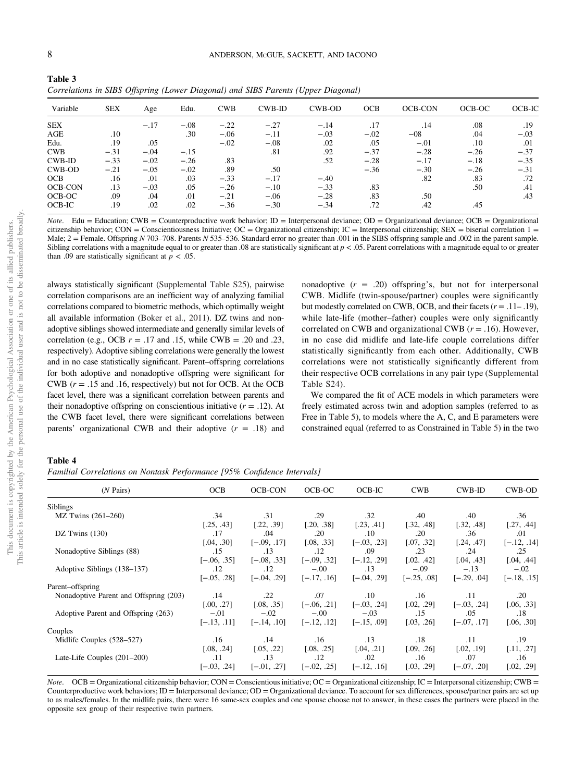| Table 3                                                                           |  |
|-----------------------------------------------------------------------------------|--|
| Correlations in SIBS Offspring (Lower Diagonal) and SIBS Parents (Upper Diagonal) |  |

|                |            | $\overline{\mathcal{U}}$<br>$\cup$ $\vee$ | $\circ$ |            |           | $\mathbf{1}$<br>$\overline{\phantom{0}}$ |            |                |        |        |
|----------------|------------|-------------------------------------------|---------|------------|-----------|------------------------------------------|------------|----------------|--------|--------|
| Variable       | <b>SEX</b> | Age                                       | Edu.    | <b>CWB</b> | $CWB$ -ID | CWB-OD                                   | <b>OCB</b> | <b>OCB-CON</b> | OCB-OC | OCB-IC |
| <b>SEX</b>     |            | $-.17$                                    | $-.08$  | $-.22$     | $-.27$    | $-.14$                                   | .17        | .14            | .08    | .19    |
| AGE            | .10        |                                           | .30     | $-.06$     | $-.11$    | $-.03$                                   | $-.02$     | $-08$          | .04    | $-.03$ |
| Edu.           | .19        | .05                                       |         | $-.02$     | $-.08$    | .02                                      | .05        | $-.01$         | .10    | .01    |
| <b>CWB</b>     | $-.31$     | $-.04$                                    | $-.15$  |            | .81       | .92                                      | $-.37$     | $-.28$         | $-.26$ | $-.37$ |
| <b>CWB-ID</b>  | $-.33$     | $-.02$                                    | $-.26$  | .83        |           | .52                                      | $-.28$     | $-.17$         | $-.18$ | $-.35$ |
| CWB-OD         | $-.21$     | $-.05$                                    | $-.02$  | .89        | .50       |                                          | $-.36$     | $-.30$         | $-.26$ | $-.31$ |
| <b>OCB</b>     | .16        | .01                                       | .03     | $-.33$     | $-.17$    | $-.40$                                   |            | .82            | .83    | .72    |
| <b>OCB-CON</b> | .13        | $-.03$                                    | .05     | $-.26$     | $-.10$    | $-.33$                                   | .83        |                | .50    | .41    |
| OCB-OC         | .09        | .04                                       | .01     | $-.21$     | $-.06$    | $-.28$                                   | .83        | .50            |        | .43    |
| OCB-IC         | .19        | .02                                       | .02     | $-.36$     | $-.30$    | $-.34$                                   | .72        | .42            | .45    |        |

*Note*. Edu = Education; CWB = Counterproductive work behavior; ID = Interpersonal deviance; OD = Organizational deviance; OCB = Organizational citizenship behavior; CON = Conscientiousness Initiative; OC = Organizational citizenship; IC = Interpersonal citizenship; SEX = biserial correlation  $1 =$ Male;  $2 =$  Female. Offspring *N* 703–708. Parents *N* 535–536. Standard error no greater than .001 in the SIBS offspring sample and .002 in the parent sample. Sibling correlations with a magnitude equal to or greater than .08 are statistically significant at  $p < .05$ . Parent correlations with a magnitude equal to or greater than .09 are statistically significant at  $p < .05$ .

always statistically significant (Supplemental Table S25), pairwise correlation comparisons are an inefficient way of analyzing familial correlations compared to biometric methods, which optimally weight all available information (Boker et al., 2011). DZ twins and nonadoptive siblings showed intermediate and generally similar levels of correlation (e.g., OCB  $r = .17$  and .15, while CWB = .20 and .23, respectively). Adoptive sibling correlations were generally the lowest and in no case statistically significant. Parent–offspring correlations for both adoptive and nonadoptive offspring were significant for CWB (*r* = .15 and .16, respectively) but not for OCB. At the OCB facet level, there was a significant correlation between parents and their nonadoptive offspring on conscientious initiative  $(r = .12)$ . At the CWB facet level, there were significant correlations between parents' organizational CWB and their adoptive (*r* = .18) and

nonadoptive  $(r = .20)$  offspring's, but not for interpersonal CWB. Midlife (twin-spouse/partner) couples were significantly but modestly correlated on CWB, OCB, and their facets (*r* = .11– .19), while late-life (mother–father) couples were only significantly correlated on CWB and organizational CWB (*r* = .16). However, in no case did midlife and late-life couple correlations differ statistically significantly from each other. Additionally, CWB correlations were not statistically significantly different from their respective OCB correlations in any pair type (Supplemental Table S24).

We compared the fit of ACE models in which parameters were freely estimated across twin and adoption samples (referred to as Free in Table 5), to models where the A, C, and E parameters were constrained equal (referred to as Constrained in Table 5) in the two

Table 4

*Familial Correlations on Nontask Performance [95% Con*fi*dence Intervals]*

| $(N \text{ Pairs})$                    | <b>OCB</b>    | <b>OCB-CON</b> | OCB-OC        | OCB-IC        | <b>CWB</b>    | CWB-ID        | <b>CWB-OD</b> |
|----------------------------------------|---------------|----------------|---------------|---------------|---------------|---------------|---------------|
| <b>Siblings</b>                        |               |                |               |               |               |               |               |
| MZ Twins (261-260)                     | .34           | .31            | .29           | .32           | .40           | .40           | .36           |
|                                        | [.25, .43]    | [.22, .39]     | [.20, .38]    | [.23, .41]    | [.32, .48]    | [.32, .48]    | [.27, .44]    |
| DZ Twins $(130)$                       | .17           | .04            | .20           | $.10\,$       | .20           | .36           | .01           |
|                                        | [.04, .30]    | $[-.09, .17]$  | [.08, .33]    | $[-.03, .23]$ | [.07, .32]    | [.24, .47]    | $[-.12, .14]$ |
| Nonadoptive Siblings (88)              | .15           | .13            | .12           | .09           | .23           | .24           | .25           |
|                                        | $[-.06, .35]$ | $[-.08, .33]$  | $[-.09, .32]$ | $[-.12, .29]$ | [.02, .42]    | [.04, .43]    | [.04, .44]    |
| Adoptive Siblings (138–137)            | .12           | .12            | $-.00$        | .13           | $-.09$        | $-.13$        | $-.02$        |
|                                        | $[-.05, .28]$ | $[-.04, .29]$  | $[-.17, .16]$ | $[-.04, .29]$ | $[-.25, .08]$ | $[-.29, .04]$ | $[-.18, .15]$ |
| Parent-offspring                       |               |                |               |               |               |               |               |
| Nonadoptive Parent and Offspring (203) | .14           | $.22\,$        | .07           | $.10\,$       | .16           | .11           | .20           |
|                                        | [.00, .27]    | [.08, .35]     | $[-.06, .21]$ | $[-.03, .24]$ | [.02, .29]    | $[-.03, .24]$ | [.06, .33]    |
| Adoptive Parent and Offspring (263)    | $-.01$        | $-.02$         | $-.00$        | $-.03$        | .15           | .05           | .18           |
|                                        | $[-.13, .11]$ | $[-.14, .10]$  | $[-.12, .12]$ | $[-.15, .09]$ | [.03, .26]    | $[-.07, .17]$ | [.06, .30]    |
| Couples                                |               |                |               |               |               |               |               |
| Midlife Couples (528–527)              | .16           | .14            | .16           | .13           | .18           | .11           | .19           |
|                                        | [.08, .24]    | [.05, .22]     | [.08, .25]    | [.04, .21]    | [.09, .26]    | [.02, .19]    | [.11, .27]    |
| Late-Life Couples $(201-200)$          | .11           | .13            | .12           | .02           | .16           | .07           | .16           |
|                                        | $[-.03, .24]$ | $[-.01, .27]$  | $[-.02, .25]$ | $[-.12, .16]$ | [.03, .29]    | $[-.07, .20]$ | [.02, .29]    |
|                                        |               |                |               |               |               |               |               |

*Note*. OCB = Organizational citizenship behavior; CON = Conscientious initiative; OC = Organizational citizenship; IC = Interpersonal citizenship; CWB = Counterproductive work behaviors;  $ID =$  Interpersonal deviance;  $OD =$  Organizational deviance. To account for sex differences, spouse/partner pairs are set up to as males/females. In the midlife pairs, there were 16 same-sex couples and one spouse choose not to answer, in these cases the partners were placed in the opposite sex group of their respective twin partners.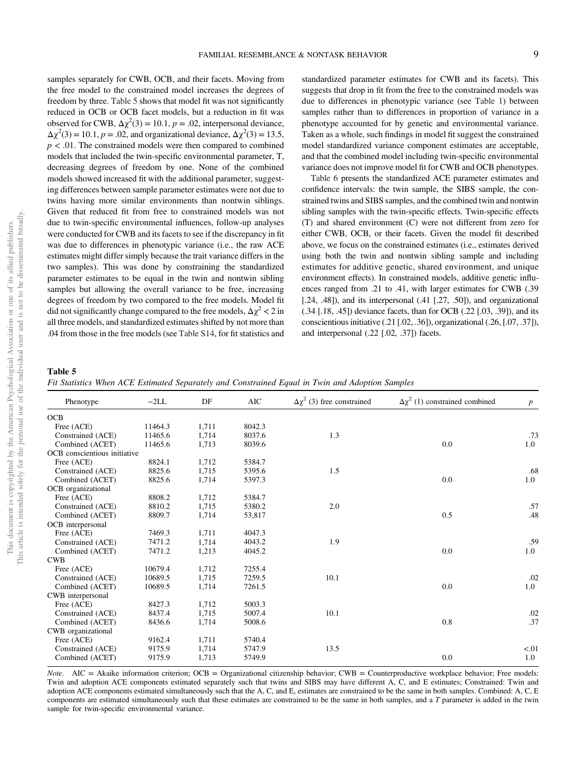samples separately for CWB, OCB, and their facets. Moving from the free model to the constrained model increases the degrees of freedom by three. Table 5 shows that model fit was not significantly reduced in OCB or OCB facet models, but a reduction in fit was observed for CWB,  $\Delta \chi^2(3) = 10.1$ ,  $p = .02$ , interpersonal deviance,  $Δχ<sup>2</sup>(3) = 10.1, p = .02$ , and organizational deviance,  $Δχ<sup>2</sup>(3) = 13.5$ ,  $p < .01$ . The constrained models were then compared to combined models that included the twin-specific environmental parameter, T, decreasing degrees of freedom by one. None of the combined models showed increased fit with the additional parameter, suggesting differences between sample parameter estimates were not due to twins having more similar environments than nontwin siblings. Given that reduced fit from free to constrained models was not due to twin-specific environmental influences, follow-up analyses were conducted for CWB and its facets to see if the discrepancy in fit was due to differences in phenotypic variance (i.e., the raw ACE estimates might differ simply because the trait variance differs in the two samples). This was done by constraining the standardized parameter estimates to be equal in the twin and nontwin sibling samples but allowing the overall variance to be free, increasing degrees of freedom by two compared to the free models. Model fit did not significantly change compared to the free models,  $\Delta \chi^2 < 2$  in all three models, and standardized estimates shifted by not more than .04 from those in the free models (see Table S14, for fit statistics and standardized parameter estimates for CWB and its facets). This suggests that drop in fit from the free to the constrained models was due to differences in phenotypic variance (see Table 1) between samples rather than to differences in proportion of variance in a phenotype accounted for by genetic and environmental variance. Taken as a whole, such findings in model fit suggest the constrained model standardized variance component estimates are acceptable, and that the combined model including twin-specific environmental variance does not improve model fit for CWB and OCB phenotypes.

Table 6 presents the standardized ACE parameter estimates and confidence intervals: the twin sample, the SIBS sample, the constrained twins and SIBS samples, and the combined twin and nontwin sibling samples with the twin-specific effects. Twin-specific effects (T) and shared environment (C) were not different from zero for either CWB, OCB, or their facets. Given the model fit described above, we focus on the constrained estimates (i.e., estimates derived using both the twin and nontwin sibling sample and including estimates for additive genetic, shared environment, and unique environment effects). In constrained models, additive genetic influences ranged from .21 to .41, with larger estimates for CWB (.39  $[0.24, 0.48]$ , and its interpersonal  $(0.41, 0.7, 0.50]$ , and organizational (.34 [.18, .45]) deviance facets, than for OCB (.22 [.03, .39]), and its conscientious initiative (.21 [.02, .36]), organizational (.26, [.07, .37]), and interpersonal (.22 [.02, .37]) facets.

# Table 5

*Fit Statistics When ACE Estimated Separately and Constrained Equal in Twin and Adoption Samples*

| Phenotype                    | $-2LL$  | DF    | <b>AIC</b> | $\Delta \chi^2$ (3) free constrained | $\Delta \chi^2$ (1) constrained combined | $\boldsymbol{p}$ |
|------------------------------|---------|-------|------------|--------------------------------------|------------------------------------------|------------------|
| <b>OCB</b>                   |         |       |            |                                      |                                          |                  |
| Free (ACE)                   | 11464.3 | 1,711 | 8042.3     |                                      |                                          |                  |
| Constrained (ACE)            | 11465.6 | 1,714 | 8037.6     | 1.3                                  |                                          | .73              |
| Combined (ACET)              | 11465.6 | 1,713 | 8039.6     |                                      | 0.0                                      | 1.0              |
| OCB conscientious initiative |         |       |            |                                      |                                          |                  |
| Free (ACE)                   | 8824.1  | 1,712 | 5384.7     |                                      |                                          |                  |
| Constrained (ACE)            | 8825.6  | 1,715 | 5395.6     | 1.5                                  |                                          | .68              |
| Combined (ACET)              | 8825.6  | 1,714 | 5397.3     |                                      | 0.0                                      | 1.0              |
| OCB organizational           |         |       |            |                                      |                                          |                  |
| Free (ACE)                   | 8808.2  | 1,712 | 5384.7     |                                      |                                          |                  |
| Constrained (ACE)            | 8810.2  | 1,715 | 5380.2     | 2.0                                  |                                          | .57              |
| Combined (ACET)              | 8809.7  | 1,714 | 53,817     |                                      | 0.5                                      | .48              |
| OCB interpersonal            |         |       |            |                                      |                                          |                  |
| Free (ACE)                   | 7469.3  | 1,711 | 4047.3     |                                      |                                          |                  |
| Constrained (ACE)            | 7471.2  | 1,714 | 4043.2     | 1.9                                  |                                          | .59              |
| Combined (ACET)              | 7471.2  | 1,213 | 4045.2     |                                      | 0.0                                      | 1.0              |
| <b>CWB</b>                   |         |       |            |                                      |                                          |                  |
| Free (ACE)                   | 10679.4 | 1,712 | 7255.4     |                                      |                                          |                  |
| Constrained (ACE)            | 10689.5 | 1,715 | 7259.5     | 10.1                                 |                                          | .02              |
| Combined (ACET)              | 10689.5 | 1,714 | 7261.5     |                                      | 0.0                                      | 1.0              |
| CWB interpersonal            |         |       |            |                                      |                                          |                  |
| Free (ACE)                   | 8427.3  | 1,712 | 5003.3     |                                      |                                          |                  |
| Constrained (ACE)            | 8437.4  | 1,715 | 5007.4     | 10.1                                 |                                          | .02              |
| Combined (ACET)              | 8436.6  | 1,714 | 5008.6     |                                      | 0.8                                      | .37              |
| CWB organizational           |         |       |            |                                      |                                          |                  |
| Free (ACE)                   | 9162.4  | 1,711 | 5740.4     |                                      |                                          |                  |
| Constrained (ACE)            | 9175.9  | 1,714 | 5747.9     | 13.5                                 |                                          | < 01             |
| Combined (ACET)              | 9175.9  | 1,713 | 5749.9     |                                      | 0.0                                      | 1.0              |

*Note*. AIC = Akaike information criterion; OCB = Organizational citizenship behavior; CWB = Counterproductive workplace behavior; Free models: Twin and adoption ACE components estimated separately such that twins and SIBS may have different A, C, and E estimates; Constrained: Twin and adoption ACE components estimated simultaneously such that the A, C, and E, estimates are constrained to be the same in both samples. Combined: A, C, E components are estimated simultaneously such that these estimates are constrained to be the same in both samples, and a *T* parameter is added in the twin sample for twin-specific environmental variance.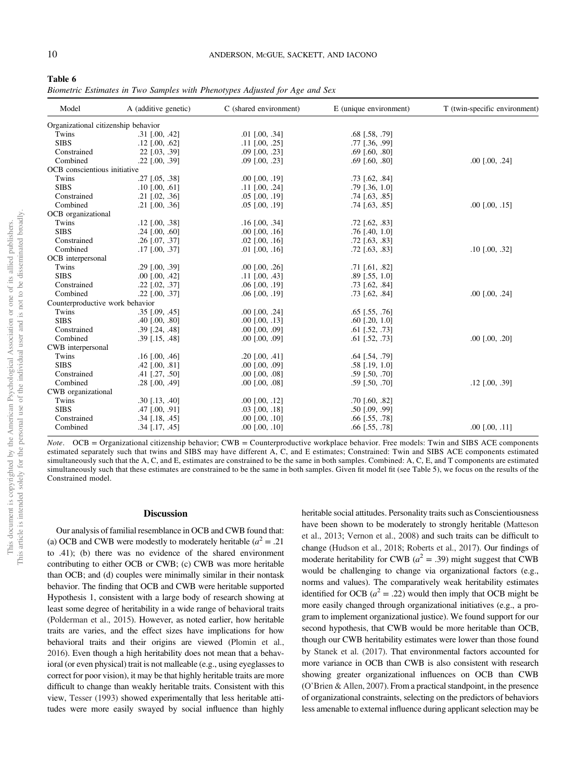| l`able 6 |  |
|----------|--|
|----------|--|

*Biometric Estimates in Two Samples with Phenotypes Adjusted for Age and Sex*

| Model                               | A (additive genetic) | C (shared environment)  | E (unique environment)  | T (twin-specific environment) |
|-------------------------------------|----------------------|-------------------------|-------------------------|-------------------------------|
| Organizational citizenship behavior |                      |                         |                         |                               |
| Twins                               | $.31$ [.00, .42]     | $.01$ $[.00, .34]$      | $.68$ [.58, .79]        |                               |
| <b>SIBS</b>                         | $.12$ [.00, .62]     | .11 [.00, .25]          | .77 [.36, .99]          |                               |
| Constrained                         | 22 [.03, .39]        | $.09$ $[.00, .23]$      | $.69$ [.60, .80]        |                               |
| Combined                            | $.22$ [.00, .39]     | $.09$ $[.00, .23]$      | $.69$ [.60, .80]        | $.00$ $[.00, .24]$            |
| OCB conscientious initiative        |                      |                         |                         |                               |
| Twins                               | $.27$ [.05, .38]     | $.00$ $[.00, .19]$      | $.73$ [.62, .84]        |                               |
| <b>SIBS</b>                         | $.10$ [.00, .61]     | .11 [.00, .24]          | $.79$ [ $.36$ , $1.0$ ] |                               |
| Constrained                         | .21 [.02, .36]       | .05 [.00, .19]          | $.74$ [.63, .85]        |                               |
| Combined                            | $.21$ [.00, .36]     | $.05$ $[.00, .19]$      | $.74$ [.63, .85]        | $.00$ $[.00, .15]$            |
| OCB organizational                  |                      |                         |                         |                               |
| Twins                               | $.12$ [.00, .38]     | $.16$ [.00, .34]        | $.72$ [.62, .83]        |                               |
| <b>SIBS</b>                         | $.24$ [.00, .60]     | $.00$ $[.00, .16]$      | $.76$ [.40, 1.0]        |                               |
| Constrained                         | $.26$ [.07, .37]     | $.02$ $[.00, .16]$      | $.72$ [.63, .83]        |                               |
| Combined                            | $.17$ [.00, .37]     | $.01$ [ $.00, .16$ ]    | $.72$ [.63, .83]        | $.10$ [.00, .32]              |
| OCB interpersonal                   |                      |                         |                         |                               |
| Twins                               | $.29$ $[.00, .39]$   | $.00$ [ $.00$ , $.26$ ] | $.71$ [.61, .82]        |                               |
| <b>SIBS</b>                         | $.00$ $[.00, .42]$   | $.11$ [.00, .43]        | $.89$ [ $.55$ , $1.0$ ] |                               |
| Constrained                         | $.22$ [.02, .37]     | $.06$ [ $.00, .19$ ]    | $.73$ [.62, .84]        |                               |
| Combined                            | $.22$ [.00, .37]     | $.06$ [ $.00, .19$ ]    | $.73$ [.62, .84]        | $.00$ $[.00, .24]$            |
| Counterproductive work behavior     |                      |                         |                         |                               |
| Twins                               | $.35$ [.09, .45]     | .00 [.00, .24]          | $.65$ [.55, .76]        |                               |
| <b>SIBS</b>                         | $.40$ $[.00, .80]$   | $.00$ $[.00, .13]$      | $.60$ [.20, 1.0]        |                               |
| Constrained                         | $.39$ [.24, .48]     | $.00$ $[.00, .09]$      | $.61$ [.52, .73]        |                               |
| Combined                            | $.39$ [.15, .48]     | $.00$ $[.00, .09]$      | $.61$ [.52, .73]        | $.00$ $[.00, .20]$            |
| CWB interpersonal                   |                      |                         |                         |                               |
| Twins                               | $.16$ [.00, .46]     | $.20$ [.00, .41]        | $.64$ [.54, .79]        |                               |
| <b>SIBS</b>                         | $.42$ [ $.00, .81$ ] | $.00$ $[.00, .09]$      | $.58$ [.19, 1.0]        |                               |
| Constrained                         | $.41$ [ $.27, .50$ ] | $.00$ [ $.00$ , $.08$ ] | $.59$ [ $.50, .70$ ]    |                               |
| Combined                            | $.28$ [ $.00, .49$ ] | $.00$ $[.00, .08]$      | $.59$ [ $.50, .70$ ]    | $.12$ [.00, .39]              |
| CWB organizational                  |                      |                         |                         |                               |
| Twins                               | $.30$ [.13, .40]     | $.00$ $[.00, .12]$      | $.70$ [.60, .82]        |                               |
| <b>SIBS</b>                         | $.47$ [ $.00, .91$ ] | $.03$ [ $.00, .18$ ]    | $.50$ [.09, .99]        |                               |
| Constrained                         | .34 [.18, .45]       | $.00$ $[.00, .10]$      | $.66$ [.55, .78]        |                               |
| Combined                            | $.34$ [.17, .45]     | $.00$ [ $.00$ , $.10$ ] | $.66$ [.55, .78]        | $.00$ [ $.00$ , $.11$ ]       |

*Note*. OCB = Organizational citizenship behavior; CWB = Counterproductive workplace behavior. Free models: Twin and SIBS ACE components estimated separately such that twins and SIBS may have different A, C, and E estimates; Constrained: Twin and SIBS ACE components estimated simultaneously such that the A, C, and E, estimates are constrained to be the same in both samples. Combined: A, C, E, and T components are estimated simultaneously such that these estimates are constrained to be the same in both samples. Given fit model fit (see Table 5), we focus on the results of the Constrained model.

#### **Discussion**

Our analysis of familial resemblance in OCB and CWB found that: (a) OCB and CWB were modestly to moderately heritable  $(a^2 = .21)$ to .41); (b) there was no evidence of the shared environment contributing to either OCB or CWB; (c) CWB was more heritable than OCB; and (d) couples were minimally similar in their nontask behavior. The finding that OCB and CWB were heritable supported Hypothesis 1, consistent with a large body of research showing at least some degree of heritability in a wide range of behavioral traits (Polderman et al., 2015). However, as noted earlier, how heritable traits are varies, and the effect sizes have implications for how behavioral traits and their origins are viewed (Plomin et al., 2016). Even though a high heritability does not mean that a behavioral (or even physical) trait is not malleable (e.g., using eyeglasses to correct for poor vision), it may be that highly heritable traits are more difficult to change than weakly heritable traits. Consistent with this view, Tesser (1993) showed experimentally that less heritable attitudes were more easily swayed by social influence than highly heritable social attitudes. Personality traits such as Conscientiousness have been shown to be moderately to strongly heritable (Matteson et al., 2013; Vernon et al., 2008) and such traits can be difficult to change (Hudson et al., 2018; Roberts et al., 2017). Our findings of moderate heritability for CWB  $(a^2 = .39)$  might suggest that CWB would be challenging to change via organizational factors (e.g., norms and values). The comparatively weak heritability estimates identified for OCB  $(a^2 = .22)$  would then imply that OCB might be more easily changed through organizational initiatives (e.g., a program to implement organizational justice). We found support for our second hypothesis, that CWB would be more heritable than OCB, though our CWB heritability estimates were lower than those found by Stanek et al. (2017). That environmental factors accounted for more variance in OCB than CWB is also consistent with research showing greater organizational influences on OCB than CWB (O'Brien & Allen, 2007). From a practical standpoint, in the presence of organizational constraints, selecting on the predictors of behaviors less amenable to external influence during applicant selection may be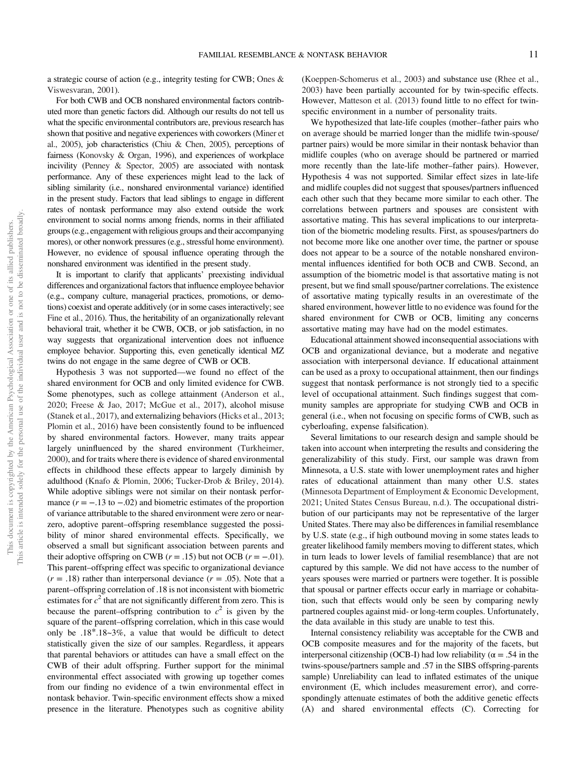a strategic course of action (e.g., integrity testing for CWB; Ones & Viswesvaran, 2001).

For both CWB and OCB nonshared environmental factors contributed more than genetic factors did. Although our results do not tell us what the specific environmental contributors are, previous research has shown that positive and negative experiences with coworkers (Miner et al., 2005), job characteristics (Chiu & Chen, 2005), perceptions of fairness (Konovsky & Organ, 1996), and experiences of workplace incivility (Penney & Spector, 2005) are associated with nontask performance. Any of these experiences might lead to the lack of sibling similarity (i.e., nonshared environmental variance) identified in the present study. Factors that lead siblings to engage in different rates of nontask performance may also extend outside the work environment to social norms among friends, norms in their affiliated groups (e.g., engagement with religious groups and their accompanying mores), or other nonwork pressures (e.g., stressful home environment). However, no evidence of spousal influence operating through the nonshared environment was identified in the present study.

It is important to clarify that applicants' preexisting individual differences and organizational factors that influence employee behavior (e.g., company culture, managerial practices, promotions, or demotions) coexist and operate additively (or in some cases interactively; see Fine et al., 2016). Thus, the heritability of an organizationally relevant behavioral trait, whether it be CWB, OCB, or job satisfaction, in no way suggests that organizational intervention does not influence employee behavior. Supporting this, even genetically identical MZ twins do not engage in the same degree of CWB or OCB.

Hypothesis 3 was not supported—we found no effect of the shared environment for OCB and only limited evidence for CWB. Some phenotypes, such as college attainment (Anderson et al., 2020; Freese & Jao, 2017; McGue et al., 2017), alcohol misuse (Stanek et al., 2017), and externalizing behaviors (Hicks et al., 2013; Plomin et al., 2016) have been consistently found to be influenced by shared environmental factors. However, many traits appear largely uninfluenced by the shared environment (Turkheimer, 2000), and for traits where there is evidence of shared environmental effects in childhood these effects appear to largely diminish by adulthood (Knafo & Plomin, 2006; Tucker-Drob & Briley, 2014). While adoptive siblings were not similar on their nontask performance  $(r = -.13$  to  $-.02)$  and biometric estimates of the proportion of variance attributable to the shared environment were zero or nearzero, adoptive parent–offspring resemblance suggested the possibility of minor shared environmental effects. Specifically, we observed a small but significant association between parents and their adoptive offspring on CWB  $(r = .15)$  but not OCB  $(r = -.01)$ . This parent–offspring effect was specific to organizational deviance  $(r = .18)$  rather than interpersonal deviance  $(r = .05)$ . Note that a parent–offspring correlation of .18 is not inconsistent with biometric estimates for  $c^2$  that are not significantly different from zero. This is because the parent–offspring contribution to  $c^2$  is given by the square of the parent–offspring correlation, which in this case would only be .18\*.18~3%, a value that would be difficult to detect statistically given the size of our samples. Regardless, it appears that parental behaviors or attitudes can have a small effect on the CWB of their adult offspring. Further support for the minimal environmental effect associated with growing up together comes from our finding no evidence of a twin environmental effect in nontask behavior. Twin-specific environment effects show a mixed presence in the literature. Phenotypes such as cognitive ability

(Koeppen-Schomerus et al., 2003) and substance use (Rhee et al., 2003) have been partially accounted for by twin-specific effects. However, Matteson et al. (2013) found little to no effect for twinspecific environment in a number of personality traits.

We hypothesized that late-life couples (mother–father pairs who on average should be married longer than the midlife twin-spouse/ partner pairs) would be more similar in their nontask behavior than midlife couples (who on average should be partnered or married more recently than the late-life mother–father pairs). However, Hypothesis 4 was not supported. Similar effect sizes in late-life and midlife couples did not suggest that spouses/partners influenced each other such that they became more similar to each other. The correlations between partners and spouses are consistent with assortative mating. This has several implications to our interpretation of the biometric modeling results. First, as spouses/partners do not become more like one another over time, the partner or spouse does not appear to be a source of the notable nonshared environmental influences identified for both OCB and CWB. Second, an assumption of the biometric model is that assortative mating is not present, but we find small spouse/partner correlations. The existence of assortative mating typically results in an overestimate of the shared environment, however little to no evidence was found for the shared environment for CWB or OCB, limiting any concerns assortative mating may have had on the model estimates.

Educational attainment showed inconsequential associations with OCB and organizational deviance, but a moderate and negative association with interpersonal deviance. If educational attainment can be used as a proxy to occupational attainment, then our findings suggest that nontask performance is not strongly tied to a specific level of occupational attainment. Such findings suggest that community samples are appropriate for studying CWB and OCB in general (i.e., when not focusing on specific forms of CWB, such as cyberloafing, expense falsification).

Several limitations to our research design and sample should be taken into account when interpreting the results and considering the generalizability of this study. First, our sample was drawn from Minnesota, a U.S. state with lower unemployment rates and higher rates of educational attainment than many other U.S. states (Minnesota Department of Employment & Economic Development, 2021; United States Census Bureau, n.d.). The occupational distribution of our participants may not be representative of the larger United States. There may also be differences in familial resemblance by U.S. state (e.g., if high outbound moving in some states leads to greater likelihood family members moving to different states, which in turn leads to lower levels of familial resemblance) that are not captured by this sample. We did not have access to the number of years spouses were married or partners were together. It is possible that spousal or partner effects occur early in marriage or cohabitation, such that effects would only be seen by comparing newly partnered couples against mid- or long-term couples. Unfortunately, the data available in this study are unable to test this.

Internal consistency reliability was acceptable for the CWB and OCB composite measures and for the majority of the facets, but interpersonal citizenship (OCB-I) had low reliability ( $\alpha = .54$  in the twins-spouse/partners sample and .57 in the SIBS offspring-parents sample) Unreliability can lead to inflated estimates of the unique environment (E, which includes measurement error), and correspondingly attenuate estimates of both the additive genetic effects (A) and shared environmental effects (C). Correcting for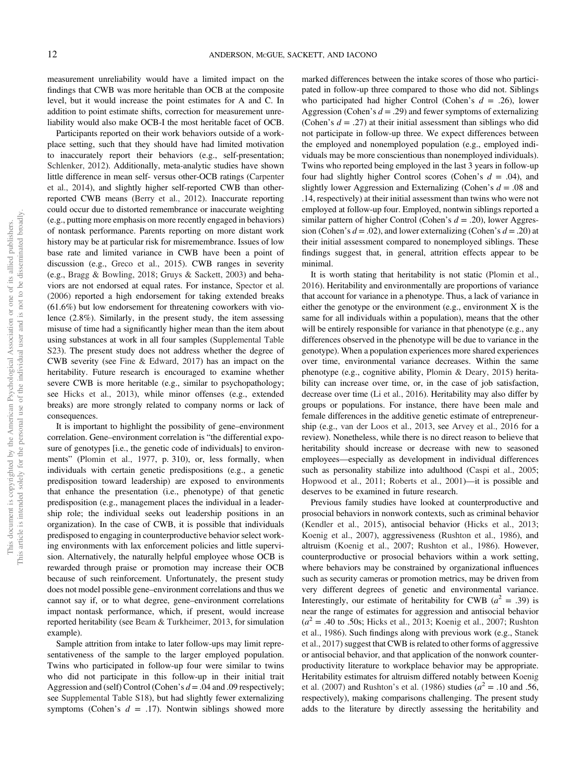measurement unreliability would have a limited impact on the findings that CWB was more heritable than OCB at the composite level, but it would increase the point estimates for A and C. In addition to point estimate shifts, correction for measurement unreliability would also make OCB-I the most heritable facet of OCB.

Participants reported on their work behaviors outside of a workplace setting, such that they should have had limited motivation to inaccurately report their behaviors (e.g., self-presentation; Schlenker, 2012). Additionally, meta-analytic studies have shown little difference in mean self- versus other-OCB ratings (Carpenter et al., 2014), and slightly higher self-reported CWB than otherreported CWB means (Berry et al., 2012). Inaccurate reporting could occur due to distorted remembrance or inaccurate weighting (e.g., putting more emphasis on more recently engaged in behaviors) of nontask performance. Parents reporting on more distant work history may be at particular risk for misremembrance. Issues of low base rate and limited variance in CWB have been a point of discussion (e.g., Greco et al., 2015). CWB ranges in severity (e.g., Bragg & Bowling, 2018; Gruys & Sackett, 2003) and behaviors are not endorsed at equal rates. For instance, Spector et al. (2006) reported a high endorsement for taking extended breaks (61.6%) but low endorsement for threatening coworkers with violence (2.8%). Similarly, in the present study, the item assessing misuse of time had a significantly higher mean than the item about using substances at work in all four samples (Supplemental Table S23). The present study does not address whether the degree of CWB severity (see Fine & Edward, 2017) has an impact on the heritability. Future research is encouraged to examine whether severe CWB is more heritable (e.g., similar to psychopathology; see Hicks et al., 2013), while minor offenses (e.g., extended breaks) are more strongly related to company norms or lack of consequences.

It is important to highlight the possibility of gene–environment correlation. Gene–environment correlation is "the differential exposure of genotypes [i.e., the genetic code of individuals] to environments" (Plomin et al., 1977, p. 310), or, less formally, when individuals with certain genetic predispositions (e.g., a genetic predisposition toward leadership) are exposed to environments that enhance the presentation (i.e., phenotype) of that genetic predisposition (e.g., management places the individual in a leadership role; the individual seeks out leadership positions in an organization). In the case of CWB, it is possible that individuals predisposed to engaging in counterproductive behavior select working environments with lax enforcement policies and little supervision. Alternatively, the naturally helpful employee whose OCB is rewarded through praise or promotion may increase their OCB because of such reinforcement. Unfortunately, the present study does not model possible gene–environment correlations and thus we cannot say if, or to what degree, gene–environment correlations impact nontask performance, which, if present, would increase reported heritability (see Beam & Turkheimer, 2013, for simulation example).

Sample attrition from intake to later follow-ups may limit representativeness of the sample to the larger employed population. Twins who participated in follow-up four were similar to twins who did not participate in this follow-up in their initial trait Aggression and (self) Control (Cohen's *d* = .04 and .09 respectively; see Supplemental Table S18), but had slightly fewer externalizing symptoms (Cohen's *d* = .17). Nontwin siblings showed more marked differences between the intake scores of those who participated in follow-up three compared to those who did not. Siblings who participated had higher Control (Cohen's *d* = .26), lower Aggression (Cohen's *d* = .29) and fewer symptoms of externalizing (Cohen's  $d = .27$ ) at their initial assessment than siblings who did not participate in follow-up three. We expect differences between the employed and nonemployed population (e.g., employed individuals may be more conscientious than nonemployed individuals). Twins who reported being employed in the last 3 years in follow-up four had slightly higher Control scores (Cohen's *d* = .04), and slightly lower Aggression and Externalizing (Cohen's *d* = .08 and .14, respectively) at their initial assessment than twins who were not employed at follow-up four. Employed, nontwin siblings reported a similar pattern of higher Control (Cohen's *d* = .20), lower Aggression (Cohen's *d* = .02), and lower externalizing (Cohen's *d* = .20) at their initial assessment compared to nonemployed siblings. These findings suggest that, in general, attrition effects appear to be minimal.

It is worth stating that heritability is not static (Plomin et al., 2016). Heritability and environmentally are proportions of variance that account for variance in a phenotype. Thus, a lack of variance in either the genotype or the environment (e.g., environment X is the same for all individuals within a population), means that the other will be entirely responsible for variance in that phenotype (e.g., any differences observed in the phenotype will be due to variance in the genotype). When a population experiences more shared experiences over time, environmental variance decreases. Within the same phenotype (e.g., cognitive ability, Plomin & Deary, 2015) heritability can increase over time, or, in the case of job satisfaction, decrease over time (Li et al., 2016). Heritability may also differ by groups or populations. For instance, there have been male and female differences in the additive genetic estimate of entrepreneurship (e.g., van der Loos et al., 2013, see Arvey et al., 2016 for a review). Nonetheless, while there is no direct reason to believe that heritability should increase or decrease with new to seasoned employees—especially as development in individual differences such as personality stabilize into adulthood (Caspi et al., 2005; Hopwood et al., 2011; Roberts et al., 2001)—it is possible and deserves to be examined in future research.

Previous family studies have looked at counterproductive and prosocial behaviors in nonwork contexts, such as criminal behavior (Kendler et al., 2015), antisocial behavior (Hicks et al., 2013; Koenig et al., 2007), aggressiveness (Rushton et al., 1986), and altruism (Koenig et al., 2007; Rushton et al., 1986). However, counterproductive or prosocial behaviors within a work setting, where behaviors may be constrained by organizational influences such as security cameras or promotion metrics, may be driven from very different degrees of genetic and environmental variance. Interestingly, our estimate of heritability for CWB  $(a^2 = .39)$  is near the range of estimates for aggression and antisocial behavior  $(a^{2} = .40 \text{ to } .50 \text{s}$ ; Hicks et al., 2013; Koenig et al., 2007; Rushton et al., 1986). Such findings along with previous work (e.g., Stanek et al., 2017) suggest that CWB is related to other forms of aggressive or antisocial behavior, and that application of the nonwork counterproductivity literature to workplace behavior may be appropriate. Heritability estimates for altruism differed notably between Koenig et al. (2007) and Rushton's et al. (1986) studies  $(a^2 = .10 \text{ and } .56,$ respectively), making comparisons challenging. The present study adds to the literature by directly assessing the heritability and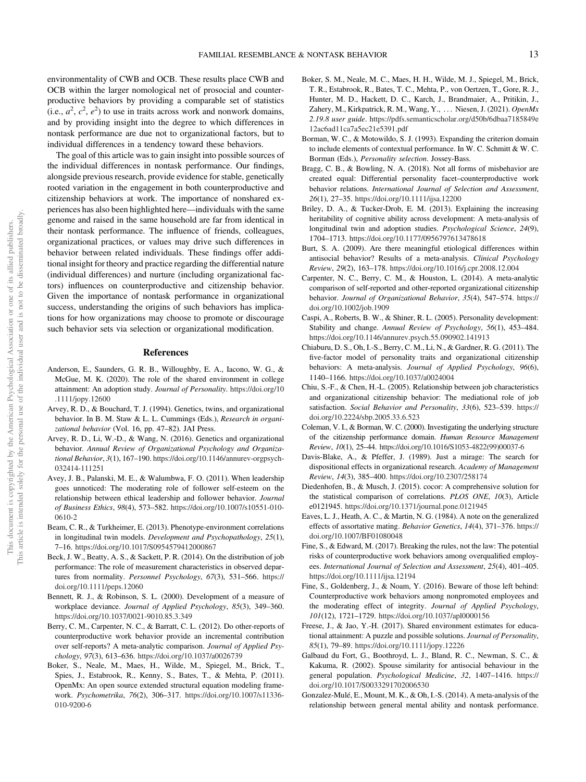environmentality of CWB and OCB. These results place CWB and OCB within the larger nomological net of prosocial and counterproductive behaviors by providing a comparable set of statistics  $(i.e.,  $a^2$ ,  $c^2$ ,  $e^2$ ) to use in traits across work and nonwork domains,$ and by providing insight into the degree to which differences in nontask performance are due not to organizational factors, but to individual differences in a tendency toward these behaviors.

The goal of this article was to gain insight into possible sources of the individual differences in nontask performance. Our findings, alongside previous research, provide evidence for stable, genetically rooted variation in the engagement in both counterproductive and citizenship behaviors at work. The importance of nonshared experiences has also been highlighted here—individuals with the same genome and raised in the same household are far from identical in their nontask performance. The influence of friends, colleagues, organizational practices, or values may drive such differences in behavior between related individuals. These findings offer additional insight for theory and practice regarding the differential nature (individual differences) and nurture (including organizational factors) influences on counterproductive and citizenship behavior. Given the importance of nontask performance in organizational success, understanding the origins of such behaviors has implications for how organizations may choose to promote or discourage such behavior sets via selection or organizational modification.

#### References

- Anderson, E., Saunders, G. R. B., Willoughby, E. A., Iacono, W. G., & McGue, M. K. (2020). The role of the shared environment in college attainment: An adoption study. *Journal of Personality*. https://doi.org/10 .1111/jopy.12600
- Arvey, R. D., & Bouchard, T. J. (1994). Genetics, twins, and organizational behavior. In B. M. Staw & L. L. Cummings (Eds.), *Research in organizational behavior* (Vol. 16, pp. 47–82). JAI Press.
- Arvey, R. D., Li, W.-D., & Wang, N. (2016). Genetics and organizational behavior. *Annual Review of Organizational Psychology and Organizational Behavior*, *3*(1), 167–190. https://doi.org/10.1146/annurev-orgpsych-032414-111251
- Avey, J. B., Palanski, M. E., & Walumbwa, F. O. (2011). When leadership goes unnoticed: The moderating role of follower self-esteem on the relationship between ethical leadership and follower behavior. *Journal of Business Ethics*, *98*(4), 573–582. https://doi.org/10.1007/s10551-010- 0610-2
- Beam, C. R., & Turkheimer, E. (2013). Phenotype-environment correlations in longitudinal twin models. *Development and Psychopathology*, *25*(1), 7–16. https://doi.org/10.1017/S0954579412000867
- Beck, J. W., Beatty, A. S., & Sackett, P. R. (2014). On the distribution of job performance: The role of measurement characteristics in observed departures from normality. *Personnel Psychology*, *67*(3), 531–566. https:// doi.org/10.1111/peps.12060
- Bennett, R. J., & Robinson, S. L. (2000). Development of a measure of workplace deviance. *Journal of Applied Psychology*, *85*(3), 349–360. https://doi.org/10.1037/0021-9010.85.3.349
- Berry, C. M., Carpenter, N. C., & Barratt, C. L. (2012). Do other-reports of counterproductive work behavior provide an incremental contribution over self-reports? A meta-analytic comparison. *Journal of Applied Psychology*, *97*(3), 613–636. https://doi.org/10.1037/a0026739
- Boker, S., Neale, M., Maes, H., Wilde, M., Spiegel, M., Brick, T., Spies, J., Estabrook, R., Kenny, S., Bates, T., & Mehta, P. (2011). OpenMx: An open source extended structural equation modeling framework. *Psychometrika*, *76*(2), 306–317. https://doi.org/10.1007/s11336- 010-9200-6
- Boker, S. M., Neale, M. C., Maes, H. H., Wilde, M. J., Spiegel, M., Brick, T. R., Estabrook, R., Bates, T. C., Mehta, P., von Oertzen, T., Gore, R. J., Hunter, M. D., Hackett, D. C., Karch, J., Brandmaier, A., Pritikin, J., Zahery, M., Kirkpatrick, R. M., Wang, Y., ::: Niesen, J. (2021). *OpenMx 2.19.8 user guide*. https://pdfs.semanticscholar.org/d50b/6dbaa7185849e 12ac6ad11ca7a5ec21e5391.pdf
- Borman, W. C., & Motowildo, S. J. (1993). Expanding the criterion domain to include elements of contextual performance. In W. C. Schmitt & W. C. Borman (Eds.), *Personality selection*. Jossey-Bass.
- Bragg, C. B., & Bowling, N. A. (2018). Not all forms of misbehavior are created equal: Differential personality facet–counterproductive work behavior relations. *International Journal of Selection and Assessment*, *26*(1), 27–35. https://doi.org/10.1111/ijsa.12200
- Briley, D. A., & Tucker-Drob, E. M. (2013). Explaining the increasing heritability of cognitive ability across development: A meta-analysis of longitudinal twin and adoption studies. *Psychological Science*, *24*(9), 1704–1713. https://doi.org/10.1177/0956797613478618
- Burt, S. A. (2009). Are there meaningful etiological differences within antisocial behavior? Results of a meta-analysis. *Clinical Psychology Review*, *29*(2), 163–178. https://doi.org/10.1016/j.cpr.2008.12.004
- Carpenter, N. C., Berry, C. M., & Houston, L. (2014). A meta-analytic comparison of self-reported and other-reported organizational citizenship behavior. *Journal of Organizational Behavior*, *35*(4), 547–574. https:// doi.org/10.1002/job.1909
- Caspi, A., Roberts, B. W., & Shiner, R. L. (2005). Personality development: Stability and change. *Annual Review of Psychology*, *56*(1), 453–484. https://doi.org/10.1146/annurev.psych.55.090902.141913
- Chiaburu, D. S., Oh, I.-S., Berry, C. M., Li, N., & Gardner, R. G. (2011). The five-factor model of personality traits and organizational citizenship behaviors: A meta-analysis. *Journal of Applied Psychology*, *96*(6), 1140–1166. https://doi.org/10.1037/a0024004
- Chiu, S.-F., & Chen, H.-L. (2005). Relationship between job characteristics and organizational citizenship behavior: The mediational role of job satisfaction. *Social Behavior and Personality*, *33*(6), 523–539. https:// doi.org/10.2224/sbp.2005.33.6.523
- Coleman, V. I., & Borman, W. C. (2000). Investigating the underlying structure of the citizenship performance domain. *Human Resource Management Review*, *10*(1), 25–44. https://doi.org/10.1016/S1053-4822(99)00037-6
- Davis-Blake, A., & Pfeffer, J. (1989). Just a mirage: The search for dispositional effects in organizational research. *Academy of Management Review*, *14*(3), 385–400. https://doi.org/10.2307/258174
- Diedenhofen, B., & Musch, J. (2015). cocor: A comprehensive solution for the statistical comparison of correlations. *PLOS ONE*, *10*(3), Article e0121945. https://doi.org/10.1371/journal.pone.0121945
- Eaves, L. J., Heath, A. C., & Martin, N. G. (1984). A note on the generalized effects of assortative mating. *Behavior Genetics*, *14*(4), 371–376. https:// doi.org/10.1007/BF01080048
- Fine, S., & Edward, M. (2017). Breaking the rules, not the law: The potential risks of counterproductive work behaviors among overqualified employees. *International Journal of Selection and Assessment*, *25*(4), 401–405. https://doi.org/10.1111/ijsa.12194
- Fine, S., Goldenberg, J., & Noam, Y. (2016). Beware of those left behind: Counterproductive work behaviors among nonpromoted employees and the moderating effect of integrity. *Journal of Applied Psychology*, *101*(12), 1721–1729. https://doi.org/10.1037/apl0000156
- Freese, J., & Jao, Y.-H. (2017). Shared environment estimates for educational attainment: A puzzle and possible solutions. *Journal of Personality*, *85*(1), 79–89. https://doi.org/10.1111/jopy.12226
- Galbaud du Fort, G., Boothroyd, L. J., Bland, R. C., Newman, S. C., & Kakuma, R. (2002). Spouse similarity for antisocial behaviour in the general population. *Psychological Medicine*, *32*, 1407–1416. https:// doi.org/10.1017/S0033291702006530
- Gonzalez-Mulé, E., Mount, M. K., & Oh, I.-S. (2014). A meta-analysis of the relationship between general mental ability and nontask performance.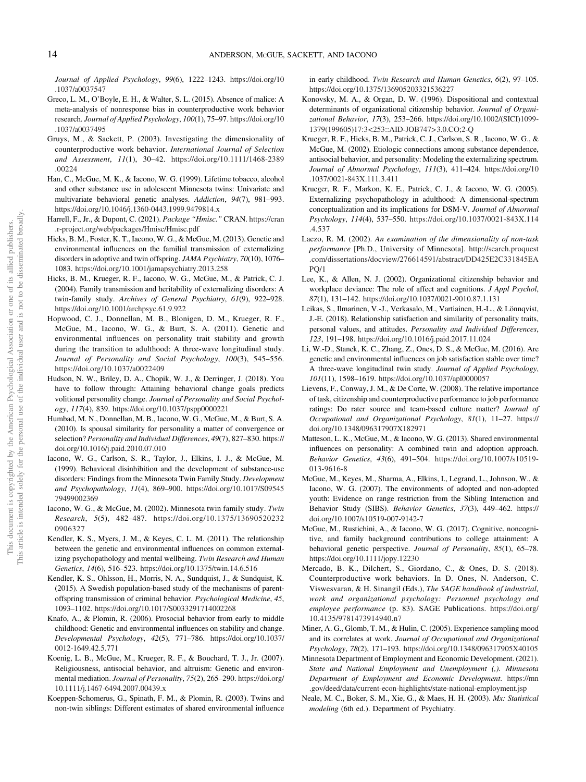*Journal of Applied Psychology*, *99*(6), 1222–1243. https://doi.org/10 .1037/a0037547

- Greco, L. M., O'Boyle, E. H., & Walter, S. L. (2015). Absence of malice: A meta-analysis of nonresponse bias in counterproductive work behavior research. *Journal of Applied Psychology*, *100*(1), 75–97. https://doi.org/10 .1037/a0037495
- Gruys, M., & Sackett, P. (2003). Investigating the dimensionality of counterproductive work behavior. *International Journal of Selection and Assessment*, *11*(1), 30–42. https://doi.org/10.1111/1468-2389 .00224
- Han, C., McGue, M. K., & Iacono, W. G. (1999). Lifetime tobacco, alcohol and other substance use in adolescent Minnesota twins: Univariate and multivariate behavioral genetic analyses. *Addiction*, *94*(7), 981–993. https://doi.org/10.1046/j.1360-0443.1999.9479814.x
- Harrell, F., Jr., & Dupont, C. (2021). *Package* "*Hmisc.*" CRAN. https://cran .r-project.org/web/packages/Hmisc/Hmisc.pdf
- Hicks, B. M., Foster, K. T., Iacono, W. G., & McGue, M. (2013). Genetic and environmental influences on the familial transmission of externalizing disorders in adoptive and twin offspring. *JAMA Psychiatry*, *70*(10), 1076– 1083. https://doi.org/10.1001/jamapsychiatry.2013.258
- Hicks, B. M., Krueger, R. F., Iacono, W. G., McGue, M., & Patrick, C. J. (2004). Family transmission and heritability of externalizing disorders: A twin-family study. *Archives of General Psychiatry*, *61*(9), 922–928. https://doi.org/10.1001/archpsyc.61.9.922
- Hopwood, C. J., Donnellan, M. B., Blonigen, D. M., Krueger, R. F., McGue, M., Iacono, W. G., & Burt, S. A. (2011). Genetic and environmental influences on personality trait stability and growth during the transition to adulthood: A three-wave longitudinal study. *Journal of Personality and Social Psychology*, *100*(3), 545–556. https://doi.org/10.1037/a0022409
- Hudson, N. W., Briley, D. A., Chopik, W. J., & Derringer, J. (2018). You have to follow through: Attaining behavioral change goals predicts volitional personality change. *Journal of Personality and Social Psychology*, *117*(4), 839. https://doi.org/10.1037/pspp0000221
- Humbad, M. N., Donnellan, M. B., Iacono, W. G., McGue, M., & Burt, S. A. (2010). Is spousal similarity for personality a matter of convergence or selection? *Personality and Individual Differences*, *49*(7), 827–830. https:// doi.org/10.1016/j.paid.2010.07.010
- Iacono, W. G., Carlson, S. R., Taylor, J., Elkins, I. J., & McGue, M. (1999). Behavioral disinhibition and the development of substance-use disorders: Findings from the Minnesota Twin Family Study. *Development and Psychopathology*, *11*(4), 869–900. https://doi.org/10.1017/S09545 79499002369
- Iacono, W. G., & McGue, M. (2002). Minnesota twin family study. *Twin Research*, *5*(5), 482–487. https://doi.org/10.1375/13690520232 0906327
- Kendler, K. S., Myers, J. M., & Keyes, C. L. M. (2011). The relationship between the genetic and environmental influences on common externalizing psychopathology and mental wellbeing. *Twin Research and Human Genetics*, *14*(6), 516–523. https://doi.org/10.1375/twin.14.6.516
- Kendler, K. S., Ohlsson, H., Morris, N. A., Sundquist, J., & Sundquist, K. (2015). A Swedish population-based study of the mechanisms of parentoffspring transmission of criminal behavior. *Psychological Medicine*, *45*, 1093–1102. https://doi.org/10.1017/S0033291714002268
- Knafo, A., & Plomin, R. (2006). Prosocial behavior from early to middle childhood: Genetic and environmental influences on stability and change. *Developmental Psychology*, *42*(5), 771–786. https://doi.org/10.1037/ 0012-1649.42.5.771
- Koenig, L. B., McGue, M., Krueger, R. F., & Bouchard, T. J., Jr. (2007). Religiousness, antisocial behavior, and altruism: Genetic and environmental mediation. *Journal of Personality*, *75*(2), 265–290. https://doi.org/ 10.1111/j.1467-6494.2007.00439.x
- Koeppen-Schomerus, G., Spinath, F. M., & Plomin, R. (2003). Twins and non-twin siblings: Different estimates of shared environmental influence

in early childhood. *Twin Research and Human Genetics*, *6*(2), 97–105. https://doi.org/10.1375/136905203321536227

- Konovsky, M. A., & Organ, D. W. (1996). Dispositional and contextual determinants of organizational citizenship behavior. *Journal of Organizational Behavior*, *17*(3), 253–266. https://doi.org/10.1002/(SICI)1099- 1379(199605)17:3<253::AID-JOB747>3.0.CO;2-Q
- Krueger, R. F., Hicks, B. M., Patrick, C. J., Carlson, S. R., Iacono, W. G., & McGue, M. (2002). Etiologic connections among substance dependence, antisocial behavior, and personality: Modeling the externalizing spectrum. *Journal of Abnormal Psychology*, *111*(3), 411–424. https://doi.org/10 .1037/0021-843X.111.3.411
- Krueger, R. F., Markon, K. E., Patrick, C. J., & Iacono, W. G. (2005). Externalizing psychopathology in adulthood: A dimensional-spectrum conceptualization and its implications for DSM-V. *Journal of Abnormal Psychology*, *114*(4), 537–550. https://doi.org/10.1037/0021-843X.114 .4.537
- Laczo, R. M. (2002). *An examination of the dimensionality of non-task performance* [Ph.D., University of Minnesota]. http://search.proquest .com/dissertations/docview/276614591/abstract/DD425E2C331845EA  $PQ/1$
- Lee, K., & Allen, N. J. (2002). Organizational citizenship behavior and workplace deviance: The role of affect and cognitions. *J Appl Psychol*, *87*(1), 131–142. https://doi.org/10.1037/0021-9010.87.1.131
- Leikas, S., Ilmarinen, V.-J., Verkasalo, M., Vartiainen, H.-L., & Lönnqvist, J.-E. (2018). Relationship satisfaction and similarity of personality traits, personal values, and attitudes. *Personality and Individual Differences*, *123*, 191–198. https://doi.org/10.1016/j.paid.2017.11.024
- Li, W.-D., Stanek, K. C., Zhang, Z., Ones, D. S., & McGue, M. (2016). Are genetic and environmental influences on job satisfaction stable over time? A three-wave longitudinal twin study. *Journal of Applied Psychology*, *101*(11), 1598–1619. https://doi.org/10.1037/apl0000057
- Lievens, F., Conway, J. M., & De Corte, W. (2008). The relative importance of task, citizenship and counterproductive performance to job performance ratings: Do rater source and team-based culture matter? *Journal of Occupational and Organizational Psychology*, *81*(1), 11–27. https:// doi.org/10.1348/096317907X182971
- Matteson, L. K., McGue, M., & Iacono, W. G. (2013). Shared environmental influences on personality: A combined twin and adoption approach. *Behavior Genetics*, *43*(6), 491–504. https://doi.org/10.1007/s10519- 013-9616-8
- McGue, M., Keyes, M., Sharma, A., Elkins, I., Legrand, L., Johnson, W., & Iacono, W. G. (2007). The environments of adopted and non-adopted youth: Evidence on range restriction from the Sibling Interaction and Behavior Study (SIBS). *Behavior Genetics*, *37*(3), 449–462. https:// doi.org/10.1007/s10519-007-9142-7
- McGue, M., Rustichini, A., & Iacono, W. G. (2017). Cognitive, noncognitive, and family background contributions to college attainment: A behavioral genetic perspective. *Journal of Personality*, *85*(1), 65–78. https://doi.org/10.1111/jopy.12230
- Mercado, B. K., Dilchert, S., Giordano, C., & Ones, D. S. (2018). Counterproductive work behaviors. In D. Ones, N. Anderson, C. Viswesvaran, & H. Sinangil (Eds.), *The SAGE handbook of industrial, work and organizational psychology: Personnel psychology and employee performance* (p. 83). SAGE Publications. https://doi.org/ 10.4135/9781473914940.n7
- Miner, A. G., Glomb, T. M., & Hulin, C. (2005). Experience sampling mood and its correlates at work. *Journal of Occupational and Organizational Psychology*, *78*(2), 171–193. https://doi.org/10.1348/096317905X40105
- Minnesota Department of Employment and Economic Development. (2021). *State and National Employment and Unemployment (,). Minnesota Department of Employment and Economic Development*. https://mn .gov/deed/data/current-econ-highlights/state-national-employment.jsp
- Neale, M. C., Boker, S. M., Xie, G., & Maes, H. H. (2003). *Mx: Statistical modeling* (6th ed.). Department of Psychiatry.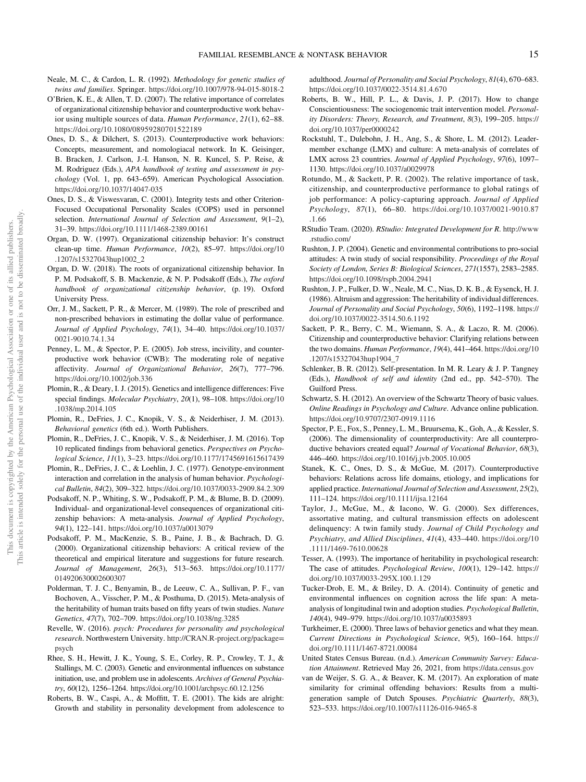- Neale, M. C., & Cardon, L. R. (1992). *Methodology for genetic studies of twins and families*. Springer. https://doi.org/10.1007/978-94-015-8018-2
- O'Brien, K. E., & Allen, T. D. (2007). The relative importance of correlates of organizational citizenship behavior and counterproductive work behavior using multiple sources of data. *Human Performance*, *21*(1), 62–88. https://doi.org/10.1080/08959280701522189
- Ones, D. S., & Dilchert, S. (2013). Counterproductive work behaviors: Concepts, measurement, and nomologiacal network. In K. Geisinger, B. Bracken, J. Carlson, J.-I. Hanson, N. R. Kuncel, S. P. Reise, & M. Rodriguez (Eds.), *APA handbook of testing and assessment in psychology* (Vol. 1, pp. 643–659). American Psychological Association. https://doi.org/10.1037/14047-035
- Ones, D. S., & Viswesvaran, C. (2001). Integrity tests and other Criterion-Focused Occupational Personality Scales (COPS) used in personnel selection. *International Journal of Selection and Assessment*, *9*(1–2), 31–39. https://doi.org/10.1111/1468-2389.00161
- Organ, D. W. (1997). Organizational citizenship behavior: It's construct clean-up time. *Human Performance*, *10*(2), 85–97. https://doi.org/10 .1207/s15327043hup1002\_2
- Organ, D. W. (2018). The roots of organizational citizenship behavior. In P. M. Podsakoff, S. B. Mackenzie, & N. P. Podsakoff (Eds.), *The oxford handbook of organizational citizenship behavior*, (p. 19). Oxford University Press.
- Orr, J. M., Sackett, P. R., & Mercer, M. (1989). The role of prescribed and non-prescribed behaviors in estimating the dollar value of performance. *Journal of Applied Psychology*, *74*(1), 34–40. https://doi.org/10.1037/ 0021-9010.74.1.34
- Penney, L. M., & Spector, P. E. (2005). Job stress, incivility, and counterproductive work behavior (CWB): The moderating role of negative affectivity. *Journal of Organizational Behavior*, *26*(7), 777–796. https://doi.org/10.1002/job.336
- Plomin, R., & Deary, I. J. (2015). Genetics and intelligence differences: Five special findings. *Molecular Psychiatry*, *20*(1), 98–108. https://doi.org/10 .1038/mp.2014.105
- Plomin, R., DeFries, J. C., Knopik, V. S., & Neiderhiser, J. M. (2013). *Behavioral genetics* (6th ed.). Worth Publishers.
- Plomin, R., DeFries, J. C., Knopik, V. S., & Neiderhiser, J. M. (2016). Top 10 replicated findings from behavioral genetics. *Perspectives on Psychological Science*, *11*(1), 3–23. https://doi.org/10.1177/1745691615617439
- Plomin, R., DeFries, J. C., & Loehlin, J. C. (1977). Genotype-environment interaction and correlation in the analysis of human behavior. *Psychological Bulletin*, *84*(2), 309–322. https://doi.org/10.1037/0033-2909.84.2.309
- Podsakoff, N. P., Whiting, S. W., Podsakoff, P. M., & Blume, B. D. (2009). Individual- and organizational-level consequences of organizational citizenship behaviors: A meta-analysis. *Journal of Applied Psychology*, *94*(1), 122–141. https://doi.org/10.1037/a0013079
- Podsakoff, P. M., MacKenzie, S. B., Paine, J. B., & Bachrach, D. G. (2000). Organizational citizenship behaviors: A critical review of the theoretical and empirical literature and suggestions for future research. *Journal of Management*, *26*(3), 513–563. https://doi.org/10.1177/ 014920630002600307
- Polderman, T. J. C., Benyamin, B., de Leeuw, C. A., Sullivan, P. F., van Bochoven, A., Visscher, P. M., & Posthuma, D. (2015). Meta-analysis of the heritability of human traits based on fifty years of twin studies. *Nature Genetics*, *47*(7), 702–709. https://doi.org/10.1038/ng.3285
- Revelle, W. (2016). *psych: Procedures for personality and psychological research*. Northwestern University. http://CRAN.R-project.org/package= psych
- Rhee, S. H., Hewitt, J. K., Young, S. E., Corley, R. P., Crowley, T. J., & Stallings, M. C. (2003). Genetic and environmental influences on substance initiation, use, and problem use in adolescents. *Archives of General Psychiatry*, *60*(12), 1256–1264. https://doi.org/10.1001/archpsyc.60.12.1256
- Roberts, B. W., Caspi, A., & Moffitt, T. E. (2001). The kids are alright: Growth and stability in personality development from adolescence to

adulthood. *Journal of Personality and Social Psychology*, *81*(4), 670–683. https://doi.org/10.1037/0022-3514.81.4.670

- Roberts, B. W., Hill, P. L., & Davis, J. P. (2017). How to change Conscientiousness: The sociogenomic trait intervention model. *Personality Disorders: Theory, Research, and Treatment*, *8*(3), 199–205. https:// doi.org/10.1037/per0000242
- Rockstuhl, T., Dulebohn, J. H., Ang, S., & Shore, L. M. (2012). Leadermember exchange (LMX) and culture: A meta-analysis of correlates of LMX across 23 countries. *Journal of Applied Psychology*, *97*(6), 1097– 1130. https://doi.org/10.1037/a0029978
- Rotundo, M., & Sackett, P. R. (2002). The relative importance of task, citizenship, and counterproductive performance to global ratings of job performance: A policy-capturing approach. *Journal of Applied Psychology*, *87*(1), 66–80. https://doi.org/10.1037/0021-9010.87 .1.66
- RStudio Team. (2020). *RStudio: Integrated Development for R*. http://www .rstudio.com/
- Rushton, J. P. (2004). Genetic and environmental contributions to pro-social attitudes: A twin study of social responsibility. *Proceedings of the Royal Society of London, Series B: Biological Sciences*, *271*(1557), 2583–2585. https://doi.org/10.1098/rspb.2004.2941
- Rushton, J. P., Fulker, D. W., Neale, M. C., Nias, D. K. B., & Eysenck, H. J. (1986). Altruism and aggression: The heritability of individual differences. *Journal of Personality and Social Psychology*, *50*(6), 1192–1198. https:// doi.org/10.1037/0022-3514.50.6.1192
- Sackett, P. R., Berry, C. M., Wiemann, S. A., & Laczo, R. M. (2006). Citizenship and counterproductive behavior: Clarifying relations between the two domains. *Human Performance*, *19*(4), 441–464. https://doi.org/10 .1207/s15327043hup1904\_7
- Schlenker, B. R. (2012). Self-presentation. In M. R. Leary & J. P. Tangney (Eds.), *Handbook of self and identity* (2nd ed., pp. 542–570). The Guilford Press.
- Schwartz, S. H. (2012). An overview of the Schwartz Theory of basic values. *Online Readings in Psychology and Culture*. Advance online publication. https://doi.org/10.9707/2307-0919.1116
- Spector, P. E., Fox, S., Penney, L. M., Bruursema, K., Goh, A., & Kessler, S. (2006). The dimensionality of counterproductivity: Are all counterproductive behaviors created equal? *Journal of Vocational Behavior*, *68*(3), 446–460. https://doi.org/10.1016/j.jvb.2005.10.005
- Stanek, K. C., Ones, D. S., & McGue, M. (2017). Counterproductive behaviors: Relations across life domains, etiology, and implications for applied practice. *International Journal of Selection and Assessment*, *25*(2), 111–124. https://doi.org/10.1111/ijsa.12164
- Taylor, J., McGue, M., & Iacono, W. G. (2000). Sex differences, assortative mating, and cultural transmission effects on adolescent delinquency: A twin family study. *Journal of Child Psychology and Psychiatry, and Allied Disciplines*, *41*(4), 433–440. https://doi.org/10 .1111/1469-7610.00628
- Tesser, A. (1993). The importance of heritability in psychological research: The case of attitudes. *Psychological Review*, *100*(1), 129–142. https:// doi.org/10.1037/0033-295X.100.1.129
- Tucker-Drob, E. M., & Briley, D. A. (2014). Continuity of genetic and environmental influences on cognition across the life span: A metaanalysis of longitudinal twin and adoption studies. *Psychological Bulletin*, *140*(4), 949–979. https://doi.org/10.1037/a0035893
- Turkheimer, E. (2000). Three laws of behavior genetics and what they mean. *Current Directions in Psychological Science*, *9*(5), 160–164. https:// doi.org/10.1111/1467-8721.00084
- United States Census Bureau. (n.d.). *American Community Survey: Education Attainment*. Retrieved May 26, 2021, from https://data.census.gov
- van de Weijer, S. G. A., & Beaver, K. M. (2017). An exploration of mate similarity for criminal offending behaviors: Results from a multigeneration sample of Dutch Spouses. *Psychiatric Quarterly*, *88*(3), 523–533. https://doi.org/10.1007/s11126-016-9465-8